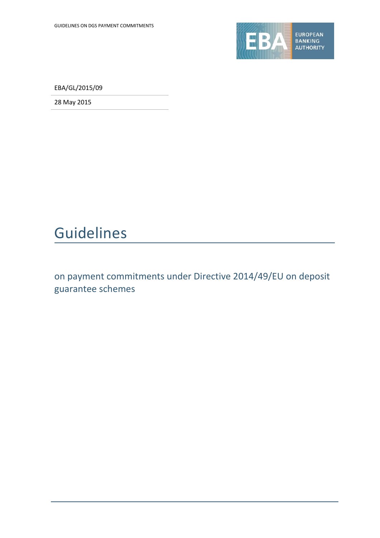

EBA/GL/2015/09

28 May 2015

# Guidelines

on payment commitments under Directive 2014/49/EU on deposit guarantee schemes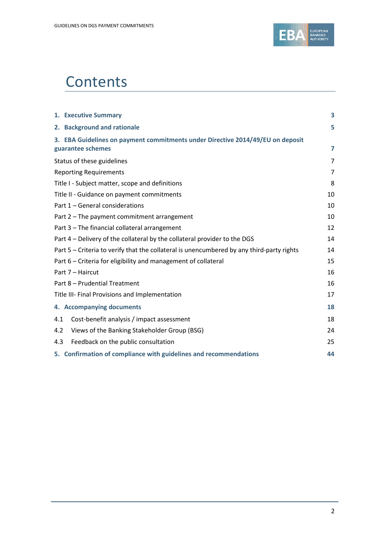

# **Contents**

|     | 1. Executive Summary                                                                                | 3              |
|-----|-----------------------------------------------------------------------------------------------------|----------------|
|     | 2. Background and rationale                                                                         | 5              |
|     | 3. EBA Guidelines on payment commitments under Directive 2014/49/EU on deposit<br>guarantee schemes | 7              |
|     | Status of these guidelines                                                                          | $\overline{7}$ |
|     | <b>Reporting Requirements</b>                                                                       | 7              |
|     | Title I - Subject matter, scope and definitions                                                     | 8              |
|     | Title II - Guidance on payment commitments                                                          | 10             |
|     | Part 1 - General considerations                                                                     | 10             |
|     | Part 2 - The payment commitment arrangement                                                         | 10             |
|     | Part 3 - The financial collateral arrangement                                                       | 12             |
|     | Part 4 – Delivery of the collateral by the collateral provider to the DGS                           | 14             |
|     | Part 5 - Criteria to verify that the collateral is unencumbered by any third-party rights           | 14             |
|     | Part 6 - Criteria for eligibility and management of collateral                                      | 15             |
|     | Part 7 - Haircut                                                                                    | 16             |
|     | Part 8 - Prudential Treatment                                                                       | 16             |
|     | Title III- Final Provisions and Implementation                                                      | 17             |
|     | 4. Accompanying documents                                                                           | 18             |
| 4.1 | Cost-benefit analysis / impact assessment                                                           | 18             |
| 4.2 | Views of the Banking Stakeholder Group (BSG)                                                        | 24             |
| 4.3 | Feedback on the public consultation                                                                 | 25             |
|     | 5. Confirmation of compliance with guidelines and recommendations                                   | 44             |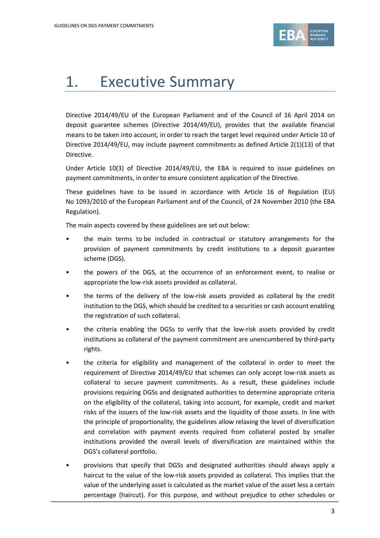

# 1. Executive Summary

Directive 2014/49/EU of the European Parliament and of the Council of 16 April 2014 on deposit guarantee schemes (Directive 2014/49/EU), provides that the available financial means to be taken into account, in order to reach the target level required under Article 10 of Directive 2014/49/EU, may include payment commitments as defined Article 2(1)(13) of that Directive.

Under Article 10(3) of Directive 2014/49/EU, the EBA is required to issue guidelines on payment commitments, in order to ensure consistent application of the Directive.

These guidelines have to be issued in accordance with Article 16 of Regulation (EU) No 1093/2010 of the European Parliament and of the Council, of 24 November 2010 (the EBA Regulation).

The main aspects covered by these guidelines are set out below:

- the main terms to be included in contractual or statutory arrangements for the provision of payment commitments by credit institutions to a deposit guarantee scheme (DGS).
- the powers of the DGS, at the occurrence of an enforcement event, to realise or appropriate the low-risk assets provided as collateral.
- the terms of the delivery of the low-risk assets provided as collateral by the credit institution to the DGS, which should be credited to a securities or cash account enabling the registration of such collateral.
- the criteria enabling the DGSs to verify that the low-risk assets provided by credit institutions as collateral of the payment commitment are unencumbered by third-party rights.
- the criteria for eligibility and management of the collateral in order to meet the requirement of Directive 2014/49/EU that schemes can only accept low-risk assets as collateral to secure payment commitments. As a result, these guidelines include provisions requiring DGSs and designated authorities to determine appropriate criteria on the eligibility of the collateral, taking into account, for example, credit and market risks of the issuers of the low-risk assets and the liquidity of those assets. In line with the principle of proportionality, the guidelines allow relaxing the level of diversification and correlation with payment events required from collateral posted by smaller institutions provided the overall levels of diversification are maintained within the DGS's collateral portfolio.
- provisions that specify that DGSs and designated authorities should always apply a haircut to the value of the low-risk assets provided as collateral. This implies that the value of the underlying asset is calculated as the market value of the asset less a certain percentage (haircut). For this purpose, and without prejudice to other schedules or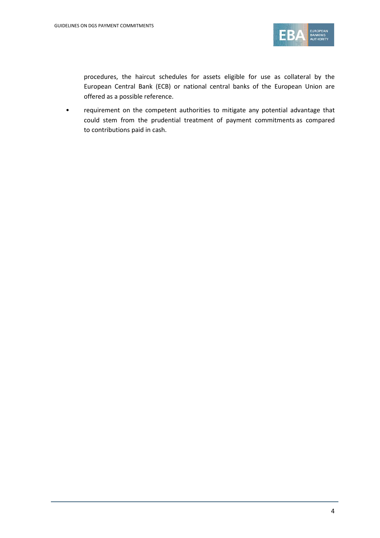

procedures, the haircut schedules for assets eligible for use as collateral by the European Central Bank (ECB) or national central banks of the European Union are offered as a possible reference.

• requirement on the competent authorities to mitigate any potential advantage that could stem from the prudential treatment of payment commitments as compared to contributions paid in cash.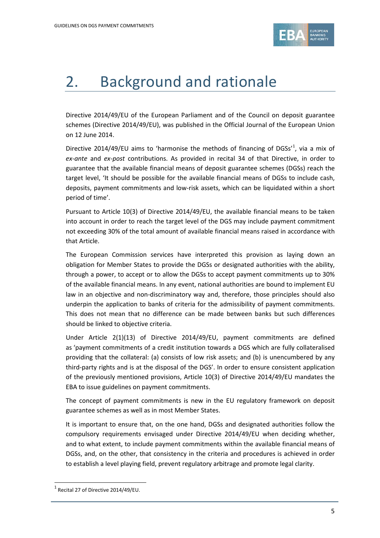

# 2. Background and rationale

Directive 2014/49/EU of the European Parliament and of the Council on deposit guarantee schemes (Directive 2014/49/EU), was published in the Official Journal of the European Union on 12 June 2014.

Directive 20[1](#page-4-0)4/49/EU aims to 'harmonise the methods of financing of DGSs'<sup>1</sup>, via a mix of *ex-ante* and *ex-post* contributions. As provided in recital 34 of that Directive, in order to guarantee that the available financial means of deposit guarantee schemes (DGSs) reach the target level, 'It should be possible for the available financial means of DGSs to include cash, deposits, payment commitments and low-risk assets, which can be liquidated within a short period of time'.

Pursuant to Article 10(3) of Directive 2014/49/EU, the available financial means to be taken into account in order to reach the target level of the DGS may include payment commitment not exceeding 30% of the total amount of available financial means raised in accordance with that Article.

The European Commission services have interpreted this provision as laying down an obligation for Member States to provide the DGSs or designated authorities with the ability, through a power, to accept or to allow the DGSs to accept payment commitments up to 30% of the available financial means. In any event, national authorities are bound to implement EU law in an objective and non-discriminatory way and, therefore, those principles should also underpin the application to banks of criteria for the admissibility of payment commitments. This does not mean that no difference can be made between banks but such differences should be linked to objective criteria.

Under Article 2(1)(13) of Directive 2014/49/EU, payment commitments are defined as 'payment commitments of a credit institution towards a DGS which are fully collateralised providing that the collateral: (a) consists of low risk assets; and (b) is unencumbered by any third-party rights and is at the disposal of the DGS'. In order to ensure consistent application of the previously mentioned provisions, Article 10(3) of Directive 2014/49/EU mandates the EBA to issue guidelines on payment commitments.

The concept of payment commitments is new in the EU regulatory framework on deposit guarantee schemes as well as in most Member States.

It is important to ensure that, on the one hand, DGSs and designated authorities follow the compulsory requirements envisaged under Directive 2014/49/EU when deciding whether, and to what extent, to include payment commitments within the available financial means of DGSs, and, on the other, that consistency in the criteria and procedures is achieved in order to establish a level playing field, prevent regulatory arbitrage and promote legal clarity.

 $\overline{a}$ 

<span id="page-4-0"></span> $1$  Recital 27 of Directive 2014/49/EU.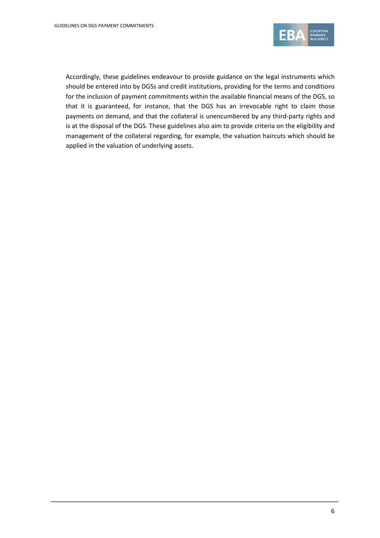

Accordingly, these guidelines endeavour to provide guidance on the legal instruments which should be entered into by DGSs and credit institutions, providing for the terms and conditions for the inclusion of payment commitments within the available financial means of the DGS, so that it is guaranteed, for instance, that the DGS has an irrevocable right to claim those payments on demand, and that the collateral is unencumbered by any third-party rights and is at the disposal of the DGS. These guidelines also aim to provide criteria on the eligibility and management of the collateral regarding, for example, the valuation haircuts which should be applied in the valuation of underlying assets.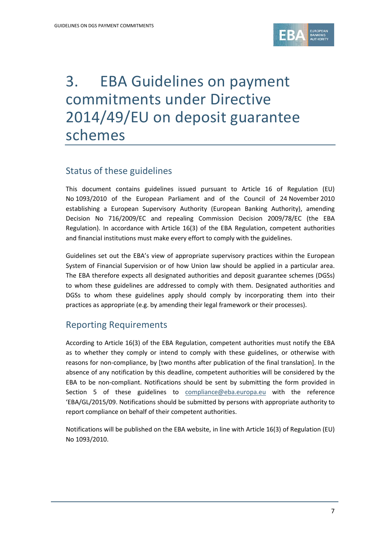

# 3. EBA Guidelines on payment commitments under Directive 2014/49/EU on deposit guarantee schemes

### Status of these guidelines

This document contains guidelines issued pursuant to Article 16 of Regulation (EU) No 1093/2010 of the European Parliament and of the Council of 24 November 2010 establishing a European Supervisory Authority (European Banking Authority), amending Decision No 716/2009/EC and repealing Commission Decision 2009/78/EC (the EBA Regulation). In accordance with Article 16(3) of the EBA Regulation, competent authorities and financial institutions must make every effort to comply with the guidelines.

Guidelines set out the EBA's view of appropriate supervisory practices within the European System of Financial Supervision or of how Union law should be applied in a particular area. The EBA therefore expects all designated authorities and deposit guarantee schemes (DGSs) to whom these guidelines are addressed to comply with them. Designated authorities and DGSs to whom these guidelines apply should comply by incorporating them into their practices as appropriate (e.g. by amending their legal framework or their processes).

## Reporting Requirements

According to Article 16(3) of the EBA Regulation, competent authorities must notify the EBA as to whether they comply or intend to comply with these guidelines, or otherwise with reasons for non-compliance, by [two months after publication of the final translation]. In the absence of any notification by this deadline, competent authorities will be considered by the EBA to be non-compliant. Notifications should be sent by submitting the form provided in Section 5 of these guidelines to [compliance@eba.europa.eu](mailto:compliance@eba.europa.eu) with the reference 'EBA/GL/2015/09. Notifications should be submitted by persons with appropriate authority to report compliance on behalf of their competent authorities.

Notifications will be published on the EBA website, in line with Article 16(3) of Regulation (EU) No 1093/2010.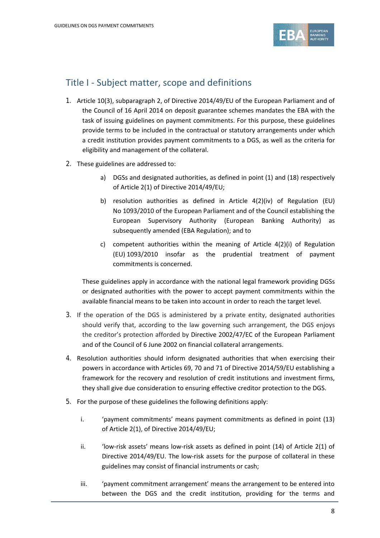

## Title I - Subject matter, scope and definitions

- 1. Article 10(3), subparagraph 2, of Directive 2014/49/EU of the European Parliament and of the Council of 16 April 2014 on deposit guarantee schemes mandates the EBA with the task of issuing guidelines on payment commitments. For this purpose, these guidelines provide terms to be included in the contractual or statutory arrangements under which a credit institution provides payment commitments to a DGS, as well as the criteria for eligibility and management of the collateral.
- 2. These guidelines are addressed to:
	- a) DGSs and designated authorities, as defined in point (1) and (18) respectively of Article 2(1) of Directive 2014/49/EU;
	- b) resolution authorities as defined in Article 4(2)(iv) of Regulation (EU) No 1093/2010 of the European Parliament and of the Council establishing the European Supervisory Authority (European Banking Authority) as subsequently amended (EBA Regulation); and to
	- c) competent authorities within the meaning of Article 4(2)(i) of Regulation (EU) 1093/2010 insofar as the prudential treatment of payment commitments is concerned.

These guidelines apply in accordance with the national legal framework providing DGSs or designated authorities with the power to accept payment commitments within the available financial means to be taken into account in order to reach the target level.

- 3. If the operation of the DGS is administered by a private entity, designated authorities should verify that, according to the law governing such arrangement, the DGS enjoys the creditor's protection afforded by Directive 2002/47/EC of the European Parliament and of the Council of 6 June 2002 on financial collateral arrangements.
- 4. Resolution authorities should inform designated authorities that when exercising their powers in accordance with Articles 69, 70 and 71 of Directive 2014/59/EU establishing a framework for the recovery and resolution of credit institutions and investment firms, they shall give due consideration to ensuring effective creditor protection to the DGS.
- 5. For the purpose of these guidelines the following definitions apply:
	- i. 'payment commitments' means payment commitments as defined in point (13) of Article 2(1), of Directive 2014/49/EU;
	- ii. 'low-risk assets' means low-risk assets as defined in point (14) of Article 2(1) of Directive 2014/49/EU. The low-risk assets for the purpose of collateral in these guidelines may consist of financial instruments or cash;
	- iii. 'payment commitment arrangement' means the arrangement to be entered into between the DGS and the credit institution, providing for the terms and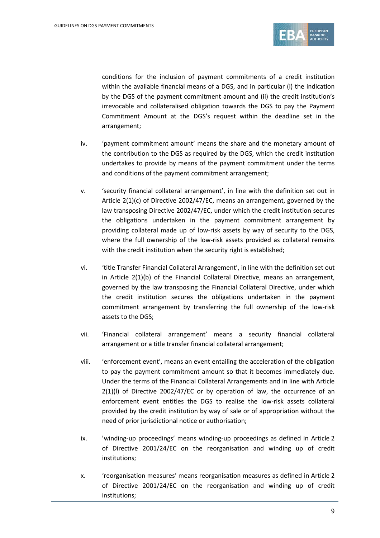

conditions for the inclusion of payment commitments of a credit institution within the available financial means of a DGS, and in particular (i) the indication by the DGS of the payment commitment amount and (ii) the credit institution's irrevocable and collateralised obligation towards the DGS to pay the Payment Commitment Amount at the DGS's request within the deadline set in the arrangement;

- iv. 'payment commitment amount' means the share and the monetary amount of the contribution to the DGS as required by the DGS, which the credit institution undertakes to provide by means of the payment commitment under the terms and conditions of the payment commitment arrangement;
- v. 'security financial collateral arrangement', in line with the definition set out in Article 2(1)(c) of Directive 2002/47/EC, means an arrangement, governed by the law transposing Directive 2002/47/EC, under which the credit institution secures the obligations undertaken in the payment commitment arrangement by providing collateral made up of low-risk assets by way of security to the DGS, where the full ownership of the low-risk assets provided as collateral remains with the credit institution when the security right is established;
- vi. 'title Transfer Financial Collateral Arrangement', in line with the definition set out in Article 2(1)(b) of the Financial Collateral Directive, means an arrangement, governed by the law transposing the Financial Collateral Directive, under which the credit institution secures the obligations undertaken in the payment commitment arrangement by transferring the full ownership of the low-risk assets to the DGS;
- vii. 'Financial collateral arrangement' means a security financial collateral arrangement or a title transfer financial collateral arrangement;
- viii. 'enforcement event', means an event entailing the acceleration of the obligation to pay the payment commitment amount so that it becomes immediately due. Under the terms of the Financial Collateral Arrangements and in line with Article 2(1)(l) of Directive 2002/47/EC or by operation of law, the occurrence of an enforcement event entitles the DGS to realise the low-risk assets collateral provided by the credit institution by way of sale or of appropriation without the need of prior jurisdictional notice or authorisation;
- ix. 'winding-up proceedings' means winding-up proceedings as defined in Article 2 of Directive 2001/24/EC on the reorganisation and winding up of credit institutions;
- x. 'reorganisation measures' means reorganisation measures as defined in Article 2 of Directive 2001/24/EC on the reorganisation and winding up of credit institutions;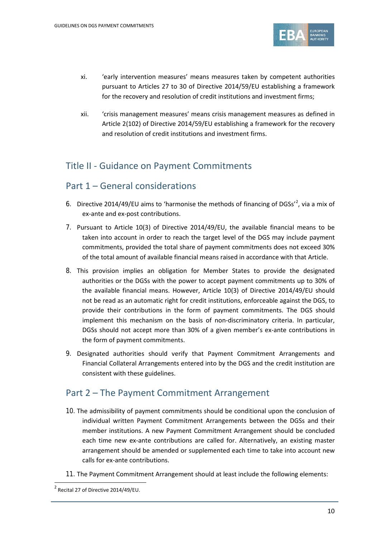

- xi. 'early intervention measures' means measures taken by competent authorities pursuant to Articles 27 to 30 of Directive 2014/59/EU establishing a framework for the recovery and resolution of credit institutions and investment firms;
- xii. 'crisis management measures' means crisis management measures as defined in Article 2(102) of Directive 2014/59/EU establishing a framework for the recovery and resolution of credit institutions and investment firms.

## Title II - Guidance on Payment Commitments

#### Part 1 – General considerations

- 6. Directive [2](#page-9-0)014/49/EU aims to 'harmonise the methods of financing of DGSs'<sup>2</sup>, via a mix of ex-ante and ex-post contributions.
- 7. Pursuant to Article 10(3) of Directive 2014/49/EU, the available financial means to be taken into account in order to reach the target level of the DGS may include payment commitments, provided the total share of payment commitments does not exceed 30% of the total amount of available financial means raised in accordance with that Article.
- 8. This provision implies an obligation for Member States to provide the designated authorities or the DGSs with the power to accept payment commitments up to 30% of the available financial means. However, Article 10(3) of Directive 2014/49/EU should not be read as an automatic right for credit institutions, enforceable against the DGS, to provide their contributions in the form of payment commitments. The DGS should implement this mechanism on the basis of non-discriminatory criteria. In particular, DGSs should not accept more than 30% of a given member's ex-ante contributions in the form of payment commitments.
- 9. Designated authorities should verify that Payment Commitment Arrangements and Financial Collateral Arrangements entered into by the DGS and the credit institution are consistent with these guidelines.

### Part 2 – The Payment Commitment Arrangement

- 10. The admissibility of payment commitments should be conditional upon the conclusion of individual written Payment Commitment Arrangements between the DGSs and their member institutions. A new Payment Commitment Arrangement should be concluded each time new ex-ante contributions are called for. Alternatively, an existing master arrangement should be amended or supplemented each time to take into account new calls for ex-ante contributions.
- 11. The Payment Commitment Arrangement should at least include the following elements:

<span id="page-9-0"></span> $2$  Recital 27 of Directive 2014/49/EU.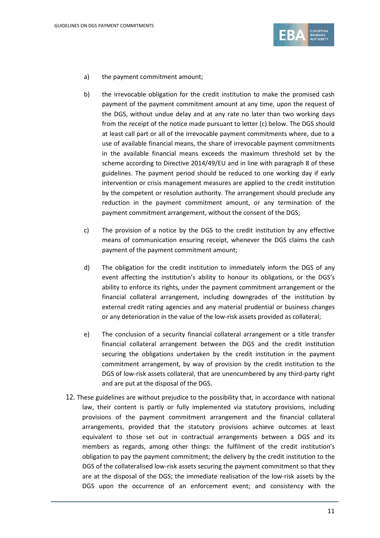

- a) the payment commitment amount;
- b) the irrevocable obligation for the credit institution to make the promised cash payment of the payment commitment amount at any time, upon the request of the DGS, without undue delay and at any rate no later than two working days from the receipt of the notice made pursuant to letter (c) below. The DGS should at least call part or all of the irrevocable payment commitments where, due to a use of available financial means, the share of irrevocable payment commitments in the available financial means exceeds the maximum threshold set by the scheme according to Directive 2014/49/EU and in line with paragraph 8 of these guidelines. The payment period should be reduced to one working day if early intervention or crisis management measures are applied to the credit institution by the competent or resolution authority. The arrangement should preclude any reduction in the payment commitment amount, or any termination of the payment commitment arrangement, without the consent of the DGS;
- c) The provision of a notice by the DGS to the credit institution by any effective means of communication ensuring receipt, whenever the DGS claims the cash payment of the payment commitment amount;
- d) The obligation for the credit institution to immediately inform the DGS of any event affecting the institution's ability to honour its obligations, or the DGS's ability to enforce its rights, under the payment commitment arrangement or the financial collateral arrangement, including downgrades of the institution by external credit rating agencies and any material prudential or business changes or any deterioration in the value of the low-risk assets provided as collateral;
- e) The conclusion of a security financial collateral arrangement or a title transfer financial collateral arrangement between the DGS and the credit institution securing the obligations undertaken by the credit institution in the payment commitment arrangement, by way of provision by the credit institution to the DGS of low-risk assets collateral, that are unencumbered by any third-party right and are put at the disposal of the DGS.
- 12. These guidelines are without prejudice to the possibility that, in accordance with national law, their content is partly or fully implemented via statutory provisions, including provisions of the payment commitment arrangement and the financial collateral arrangements, provided that the statutory provisions achieve outcomes at least equivalent to those set out in contractual arrangements between a DGS and its members as regards, among other things: the fulfilment of the credit institution's obligation to pay the payment commitment; the delivery by the credit institution to the DGS of the collateralised low-risk assets securing the payment commitment so that they are at the disposal of the DGS; the immediate realisation of the low-risk assets by the DGS upon the occurrence of an enforcement event; and consistency with the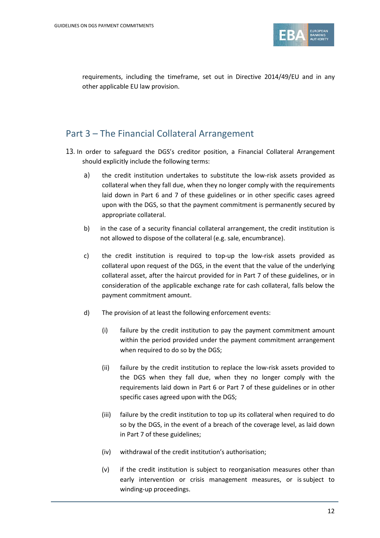

requirements, including the timeframe, set out in Directive 2014/49/EU and in any other applicable EU law provision.

#### Part 3 – The Financial Collateral Arrangement

- 13.In order to safeguard the DGS's creditor position, a Financial Collateral Arrangement should explicitly include the following terms:
	- a) the credit institution undertakes to substitute the low-risk assets provided as collateral when they fall due, when they no longer comply with the requirements laid down in Part 6 and 7 of these guidelines or in other specific cases agreed upon with the DGS, so that the payment commitment is permanently secured by appropriate collateral.
	- b) in the case of a security financial collateral arrangement, the credit institution is not allowed to dispose of the collateral (e.g. sale, encumbrance).
	- c) the credit institution is required to top-up the low-risk assets provided as collateral upon request of the DGS, in the event that the value of the underlying collateral asset, after the haircut provided for in Part 7 of these guidelines, or in consideration of the applicable exchange rate for cash collateral, falls below the payment commitment amount.
	- d) The provision of at least the following enforcement events:
		- (i) failure by the credit institution to pay the payment commitment amount within the period provided under the payment commitment arrangement when required to do so by the DGS;
		- (ii) failure by the credit institution to replace the low-risk assets provided to the DGS when they fall due, when they no longer comply with the requirements laid down in Part 6 or Part 7 of these guidelines or in other specific cases agreed upon with the DGS;
		- (iii) failure by the credit institution to top up its collateral when required to do so by the DGS, in the event of a breach of the coverage level, as laid down in Part 7 of these guidelines;
		- (iv) withdrawal of the credit institution's authorisation;
		- (v) if the credit institution is subject to reorganisation measures other than early intervention or crisis management measures, or is subject to winding-up proceedings.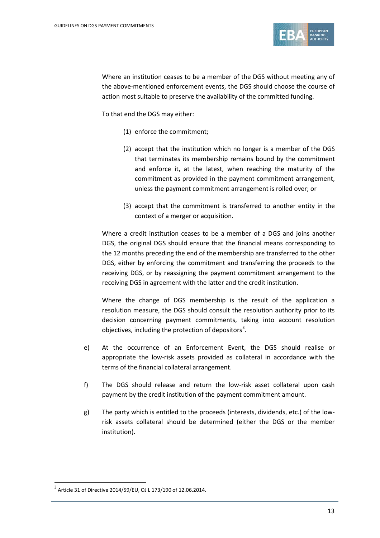

Where an institution ceases to be a member of the DGS without meeting any of the above-mentioned enforcement events, the DGS should choose the course of action most suitable to preserve the availability of the committed funding.

To that end the DGS may either:

- (1) enforce the commitment;
- (2) accept that the institution which no longer is a member of the DGS that terminates its membership remains bound by the commitment and enforce it, at the latest, when reaching the maturity of the commitment as provided in the payment commitment arrangement, unless the payment commitment arrangement is rolled over; or
- (3) accept that the commitment is transferred to another entity in the context of a merger or acquisition.

Where a credit institution ceases to be a member of a DGS and joins another DGS, the original DGS should ensure that the financial means corresponding to the 12 months preceding the end of the membership are transferred to the other DGS, either by enforcing the commitment and transferring the proceeds to the receiving DGS, or by reassigning the payment commitment arrangement to the receiving DGS in agreement with the latter and the credit institution.

Where the change of DGS membership is the result of the application a resolution measure, the DGS should consult the resolution authority prior to its decision concerning payment commitments, taking into account resolution objectives, including the protection of depositors<sup>[3](#page-12-0)</sup>.

- e) At the occurrence of an Enforcement Event, the DGS should realise or appropriate the low-risk assets provided as collateral in accordance with the terms of the financial collateral arrangement.
- f) The DGS should release and return the low-risk asset collateral upon cash payment by the credit institution of the payment commitment amount.
- g) The party which is entitled to the proceeds (interests, dividends, etc.) of the lowrisk assets collateral should be determined (either the DGS or the member institution).

 $\overline{a}$ 

<span id="page-12-0"></span><sup>3</sup> Article 31 of Directive 2014/59/EU, OJ L 173/190 of 12.06.2014.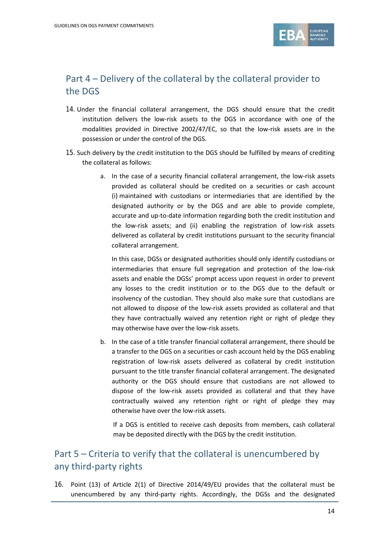

## Part 4 – Delivery of the collateral by the collateral provider to the DGS

- 14. Under the financial collateral arrangement, the DGS should ensure that the credit institution delivers the low-risk assets to the DGS in accordance with one of the modalities provided in Directive 2002/47/EC, so that the low-risk assets are in the possession or under the control of the DGS.
- 15. Such delivery by the credit institution to the DGS should be fulfilled by means of crediting the collateral as follows:
	- a. In the case of a security financial collateral arrangement, the low-risk assets provided as collateral should be credited on a securities or cash account (i) maintained with custodians or intermediaries that are identified by the designated authority or by the DGS and are able to provide complete, accurate and up-to-date information regarding both the credit institution and the low-risk assets; and (ii) enabling the registration of low-risk assets delivered as collateral by credit institutions pursuant to the security financial collateral arrangement.

In this case, DGSs or designated authorities should only identify custodians or intermediaries that ensure full segregation and protection of the low-risk assets and enable the DGSs' prompt access upon request in order to prevent any losses to the credit institution or to the DGS due to the default or insolvency of the custodian. They should also make sure that custodians are not allowed to dispose of the low-risk assets provided as collateral and that they have contractually waived any retention right or right of pledge they may otherwise have over the low-risk assets.

b. In the case of a title transfer financial collateral arrangement, there should be a transfer to the DGS on a securities or cash account held by the DGS enabling registration of low-risk assets delivered as collateral by credit institution pursuant to the title transfer financial collateral arrangement. The designated authority or the DGS should ensure that custodians are not allowed to dispose of the low-risk assets provided as collateral and that they have contractually waived any retention right or right of pledge they may otherwise have over the low-risk assets.

If a DGS is entitled to receive cash deposits from members, cash collateral may be deposited directly with the DGS by the credit institution.

# Part 5 – Criteria to verify that the collateral is unencumbered by any third-party rights

16. Point (13) of Article 2(1) of Directive 2014/49/EU provides that the collateral must be unencumbered by any third-party rights. Accordingly, the DGSs and the designated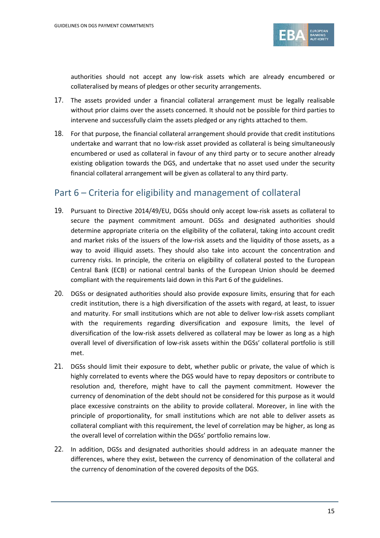

authorities should not accept any low-risk assets which are already encumbered or collateralised by means of pledges or other security arrangements.

- 17. The assets provided under a financial collateral arrangement must be legally realisable without prior claims over the assets concerned. It should not be possible for third parties to intervene and successfully claim the assets pledged or any rights attached to them.
- 18. For that purpose, the financial collateral arrangement should provide that credit institutions undertake and warrant that no low-risk asset provided as collateral is being simultaneously encumbered or used as collateral in favour of any third party or to secure another already existing obligation towards the DGS, and undertake that no asset used under the security financial collateral arrangement will be given as collateral to any third party.

### Part 6 – Criteria for eligibility and management of collateral

- 19. Pursuant to Directive 2014/49/EU, DGSs should only accept low-risk assets as collateral to secure the payment commitment amount. DGSs and designated authorities should determine appropriate criteria on the eligibility of the collateral, taking into account credit and market risks of the issuers of the low-risk assets and the liquidity of those assets, as a way to avoid illiquid assets. They should also take into account the concentration and currency risks. In principle, the criteria on eligibility of collateral posted to the European Central Bank (ECB) or national central banks of the European Union should be deemed compliant with the requirements laid down in this Part 6 of the guidelines.
- 20. DGSs or designated authorities should also provide exposure limits, ensuring that for each credit institution, there is a high diversification of the assets with regard, at least, to issuer and maturity. For small institutions which are not able to deliver low-risk assets compliant with the requirements regarding diversification and exposure limits, the level of diversification of the low-risk assets delivered as collateral may be lower as long as a high overall level of diversification of low-risk assets within the DGSs' collateral portfolio is still met.
- 21. DGSs should limit their exposure to debt, whether public or private, the value of which is highly correlated to events where the DGS would have to repay depositors or contribute to resolution and, therefore, might have to call the payment commitment. However the currency of denomination of the debt should not be considered for this purpose as it would place excessive constraints on the ability to provide collateral. Moreover, in line with the principle of proportionality, for small institutions which are not able to deliver assets as collateral compliant with this requirement, the level of correlation may be higher, as long as the overall level of correlation within the DGSs' portfolio remains low.
- 22. In addition, DGSs and designated authorities should address in an adequate manner the differences, where they exist, between the currency of denomination of the collateral and the currency of denomination of the covered deposits of the DGS.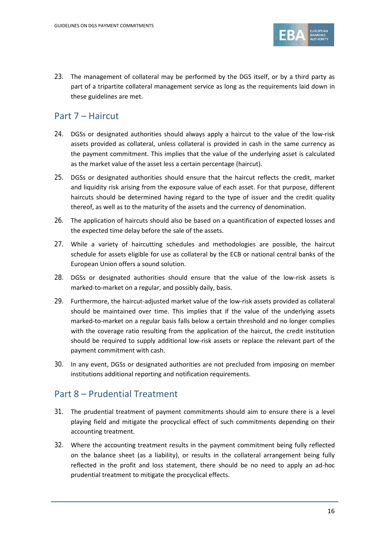

23. The management of collateral may be performed by the DGS itself, or by a third party as part of a tripartite collateral management service as long as the requirements laid down in these guidelines are met.

### Part 7 – Haircut

- 24. DGSs or designated authorities should always apply a haircut to the value of the low-risk assets provided as collateral, unless collateral is provided in cash in the same currency as the payment commitment. This implies that the value of the underlying asset is calculated as the market value of the asset less a certain percentage (haircut).
- 25. DGSs or designated authorities should ensure that the haircut reflects the credit, market and liquidity risk arising from the exposure value of each asset. For that purpose, different haircuts should be determined having regard to the type of issuer and the credit quality thereof, as well as to the maturity of the assets and the currency of denomination.
- 26. The application of haircuts should also be based on a quantification of expected losses and the expected time delay before the sale of the assets.
- 27. While a variety of haircutting schedules and methodologies are possible, the haircut schedule for assets eligible for use as collateral by the ECB or national central banks of the European Union offers a sound solution.
- 28. DGSs or designated authorities should ensure that the value of the low-risk assets is marked-to-market on a regular, and possibly daily, basis.
- 29. Furthermore, the haircut-adjusted market value of the low-risk assets provided as collateral should be maintained over time. This implies that if the value of the underlying assets marked-to-market on a regular basis falls below a certain threshold and no longer complies with the coverage ratio resulting from the application of the haircut, the credit institution should be required to supply additional low-risk assets or replace the relevant part of the payment commitment with cash.
- 30. In any event, DGSs or designated authorities are not precluded from imposing on member institutions additional reporting and notification requirements.

## Part 8 – Prudential Treatment

- 31. The prudential treatment of payment commitments should aim to ensure there is a level playing field and mitigate the procyclical effect of such commitments depending on their accounting treatment.
- 32. Where the accounting treatment results in the payment commitment being fully reflected on the balance sheet (as a liability), or results in the collateral arrangement being fully reflected in the profit and loss statement, there should be no need to apply an ad-hoc prudential treatment to mitigate the procyclical effects.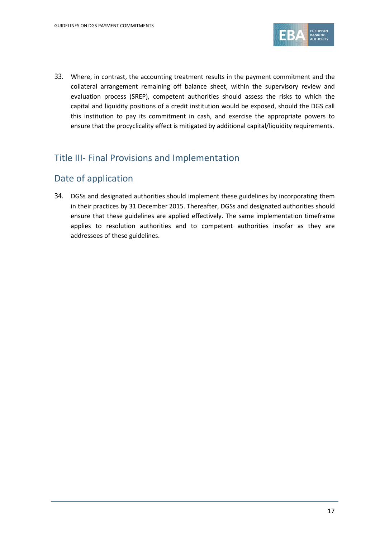

33. Where, in contrast, the accounting treatment results in the payment commitment and the collateral arrangement remaining off balance sheet, within the supervisory review and evaluation process (SREP), competent authorities should assess the risks to which the capital and liquidity positions of a credit institution would be exposed, should the DGS call this institution to pay its commitment in cash, and exercise the appropriate powers to ensure that the procyclicality effect is mitigated by additional capital/liquidity requirements.

## Title III- Final Provisions and Implementation

# Date of application

34. DGSs and designated authorities should implement these guidelines by incorporating them in their practices by 31 December 2015. Thereafter, DGSs and designated authorities should ensure that these guidelines are applied effectively. The same implementation timeframe applies to resolution authorities and to competent authorities insofar as they are addressees of these guidelines.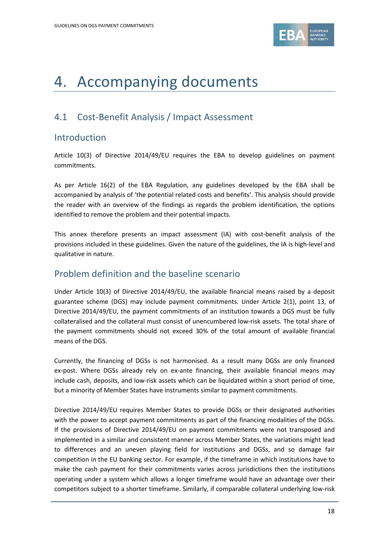

# 4. Accompanying documents

# 4.1 Cost-Benefit Analysis / Impact Assessment

### Introduction

Article 10(3) of Directive 2014/49/EU requires the EBA to develop guidelines on payment commitments.

As per Article 16(2) of the EBA Regulation, any guidelines developed by the EBA shall be accompanied by analysis of 'the potential related costs and benefits'. This analysis should provide the reader with an overview of the findings as regards the problem identification, the options identified to remove the problem and their potential impacts.

This annex therefore presents an impact assessment (IA) with cost-benefit analysis of the provisions included in these guidelines. Given the nature of the guidelines, the IA is high-level and qualitative in nature.

## Problem definition and the baseline scenario

Under Article 10(3) of Directive 2014/49/EU, the available financial means raised by a deposit guarantee scheme (DGS) may include payment commitments. Under Article 2(1), point 13, of Directive 2014/49/EU, the payment commitments of an institution towards a DGS must be fully collateralised and the collateral must consist of unencumbered low-risk assets. The total share of the payment commitments should not exceed 30% of the total amount of available financial means of the DGS.

Currently, the financing of DGSs is not harmonised. As a result many DGSs are only financed ex-post. Where DGSs already rely on ex-ante financing, their available financial means may include cash, deposits, and low-risk assets which can be liquidated within a short period of time, but a minority of Member States have instruments similar to payment commitments.

Directive 2014/49/EU requires Member States to provide DGSs or their designated authorities with the power to accept payment commitments as part of the financing modalities of the DGSs. If the provisions of Directive 2014/49/EU on payment commitments were not transposed and implemented in a similar and consistent manner across Member States, the variations might lead to differences and an uneven playing field for institutions and DGSs, and so damage fair competition in the EU banking sector. For example, if the timeframe in which institutions have to make the cash payment for their commitments varies across jurisdictions then the institutions operating under a system which allows a longer timeframe would have an advantage over their competitors subject to a shorter timeframe. Similarly, if comparable collateral underlying low-risk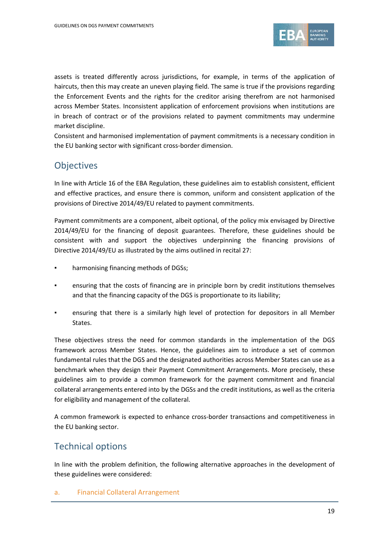

assets is treated differently across jurisdictions, for example, in terms of the application of haircuts, then this may create an uneven playing field. The same is true if the provisions regarding the Enforcement Events and the rights for the creditor arising therefrom are not harmonised across Member States. Inconsistent application of enforcement provisions when institutions are in breach of contract or of the provisions related to payment commitments may undermine market discipline.

Consistent and harmonised implementation of payment commitments is a necessary condition in the EU banking sector with significant cross-border dimension.

## **Objectives**

In line with Article 16 of the EBA Regulation, these guidelines aim to establish consistent, efficient and effective practices, and ensure there is common, uniform and consistent application of the provisions of Directive 2014/49/EU related to payment commitments.

Payment commitments are a component, albeit optional, of the policy mix envisaged by Directive 2014/49/EU for the financing of deposit guarantees. Therefore, these guidelines should be consistent with and support the objectives underpinning the financing provisions of Directive 2014/49/EU as illustrated by the aims outlined in recital 27:

- harmonising financing methods of DGSs;
- ensuring that the costs of financing are in principle born by credit institutions themselves and that the financing capacity of the DGS is proportionate to its liability;
- ensuring that there is a similarly high level of protection for depositors in all Member States.

These objectives stress the need for common standards in the implementation of the DGS framework across Member States. Hence, the guidelines aim to introduce a set of common fundamental rules that the DGS and the designated authorities across Member States can use as a benchmark when they design their Payment Commitment Arrangements. More precisely, these guidelines aim to provide a common framework for the payment commitment and financial collateral arrangements entered into by the DGSs and the credit institutions, as well as the criteria for eligibility and management of the collateral.

A common framework is expected to enhance cross-border transactions and competitiveness in the EU banking sector.

### Technical options

In line with the problem definition, the following alternative approaches in the development of these guidelines were considered:

a. Financial Collateral Arrangement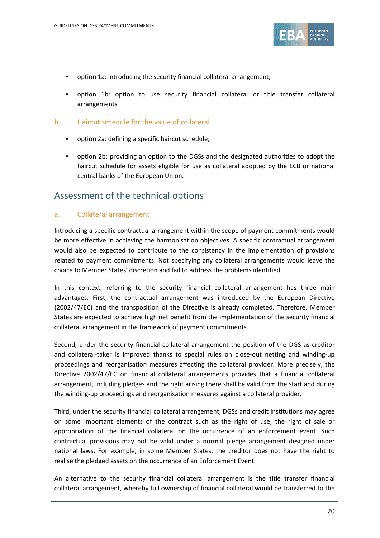

- option 1a: introducing the security financial collateral arrangement;
- option 1b: option to use security financial collateral or title transfer collateral arrangements
- b. Haircut schedule for the value of collateral
	- option 2a: defining a specific haircut schedule;
	- option 2b: providing an option to the DGSs and the designated authorities to adopt the haircut schedule for assets eligible for use as collateral adopted by the ECB or national central banks of the European Union.

### Assessment of the technical options

#### a. Collateral arrangement

Introducing a specific contractual arrangement within the scope of payment commitments would be more effective in achieving the harmonisation objectives. A specific contractual arrangement would also be expected to contribute to the consistency in the implementation of provisions related to payment commitments. Not specifying any collateral arrangements would leave the choice to Member States' discretion and fail to address the problems identified.

In this context, referring to the security financial collateral arrangement has three main advantages. First, the contractual arrangement was introduced by the European Directive (2002/47/EC) and the transposition of the Directive is already completed. Therefore, Member States are expected to achieve high net benefit from the implementation of the security financial collateral arrangement in the framework of payment commitments.

Second, under the security financial collateral arrangement the position of the DGS as creditor and collateral-taker is improved thanks to special rules on close-out netting and winding-up proceedings and reorganisation measures affecting the collateral provider. More precisely, the Directive 2002/47/EC on financial collateral arrangements provides that a financial collateral arrangement, including pledges and the right arising there shall be valid from the start and during the winding-up proceedings and reorganisation measures against a collateral provider.

Third, under the security financial collateral arrangement, DGSs and credit institutions may agree on some important elements of the contract such as the right of use, the right of sale or appropriation of the financial collateral on the occurrence of an enforcement event. Such contractual provisions may not be valid under a normal pledge arrangement designed under national laws. For example, in some Member States, the creditor does not have the right to realise the pledged assets on the occurrence of an Enforcement Event.

An alternative to the security financial collateral arrangement is the title transfer financial collateral arrangement, whereby full ownership of financial collateral would be transferred to the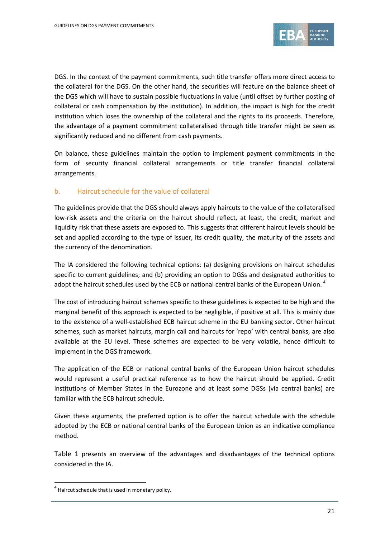

DGS. In the context of the payment commitments, such title transfer offers more direct access to the collateral for the DGS. On the other hand, the securities will feature on the balance sheet of the DGS which will have to sustain possible fluctuations in value (until offset by further posting of collateral or cash compensation by the institution). In addition, the impact is high for the credit institution which loses the ownership of the collateral and the rights to its proceeds. Therefore, the advantage of a payment commitment collateralised through title transfer might be seen as significantly reduced and no different from cash payments.

On balance, these guidelines maintain the option to implement payment commitments in the form of security financial collateral arrangements or title transfer financial collateral arrangements.

#### b. Haircut schedule for the value of collateral

The guidelines provide that the DGS should always apply haircuts to the value of the collateralised low-risk assets and the criteria on the haircut should reflect, at least, the credit, market and liquidity risk that these assets are exposed to. This suggests that different haircut levels should be set and applied according to the type of issuer, its credit quality, the maturity of the assets and the currency of the denomination.

The IA considered the following technical options: (a) designing provisions on haircut schedules specific to current guidelines; and (b) providing an option to DGSs and designated authorities to adopt the haircut schedules used by the ECB or national central banks of the European Union.  $^4$  $^4$ 

The cost of introducing haircut schemes specific to these guidelines is expected to be high and the marginal benefit of this approach is expected to be negligible, if positive at all. This is mainly due to the existence of a well-established ECB haircut scheme in the EU banking sector. Other haircut schemes, such as market haircuts, margin call and haircuts for 'repo' with central banks, are also available at the EU level. These schemes are expected to be very volatile, hence difficult to implement in the DGS framework.

The application of the ECB or national central banks of the European Union haircut schedules would represent a useful practical reference as to how the haircut should be applied. Credit institutions of Member States in the Eurozone and at least some DGSs (via central banks) are familiar with the ECB haircut schedule.

Given these arguments, the preferred option is to offer the haircut schedule with the schedule adopted by the ECB or national central banks of the European Union as an indicative compliance method.

Table 1 presents an overview of the advantages and disadvantages of the technical options considered in the IA.

 $\overline{a}$ 

<span id="page-20-0"></span> $4$  Haircut schedule that is used in monetary policy.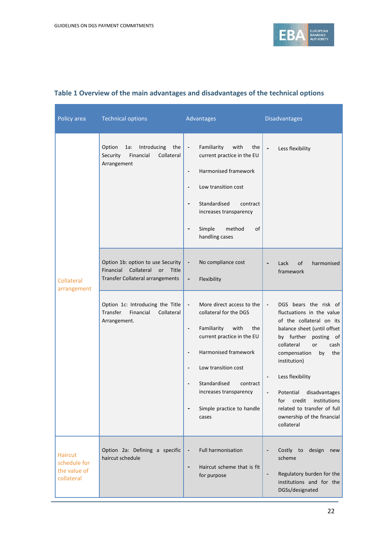

| Policy area                                                  | <b>Technical options</b>                                                                                        | Advantages                                                                                                                                                                                                                                                                                                                                     | <b>Disadvantages</b>                                                                                                                                                                                                                                                                                                                                                                                         |
|--------------------------------------------------------------|-----------------------------------------------------------------------------------------------------------------|------------------------------------------------------------------------------------------------------------------------------------------------------------------------------------------------------------------------------------------------------------------------------------------------------------------------------------------------|--------------------------------------------------------------------------------------------------------------------------------------------------------------------------------------------------------------------------------------------------------------------------------------------------------------------------------------------------------------------------------------------------------------|
|                                                              | Option<br>Introducing<br>the<br>1a:<br>Financial<br>Collateral<br>Security<br>Arrangement                       | Familiarity<br>with<br>the<br>$\overline{\phantom{a}}$<br>current practice in the EU<br>Harmonised framework<br>Low transition cost<br>Standardised<br>contract<br>$\qquad \qquad \blacksquare$<br>increases transparency<br>Simple<br>method<br>οf<br>handling cases                                                                          | Less flexibility<br>$\qquad \qquad \blacksquare$                                                                                                                                                                                                                                                                                                                                                             |
| Collateral<br>arrangement                                    | Option 1b: option to use Security<br>Financial<br>Collateral<br>or<br>Title<br>Transfer Collateral arrangements | No compliance cost<br>Flexibility<br>-                                                                                                                                                                                                                                                                                                         | Lack<br>of<br>harmonised<br>framework                                                                                                                                                                                                                                                                                                                                                                        |
|                                                              | Option 1c: Introducing the Title<br>Transfer<br>Financial<br>Collateral<br>Arrangement.                         | More direct access to the<br>$\overline{\phantom{a}}$<br>collateral for the DGS<br>Familiarity<br>with<br>the<br>$\overline{\phantom{a}}$<br>current practice in the EU<br>Harmonised framework<br>$\overline{\phantom{0}}$<br>Low transition cost<br>Standardised<br>contract<br>increases transparency<br>Simple practice to handle<br>cases | DGS bears the risk of<br>$\overline{\phantom{a}}$<br>fluctuations in the value<br>of the collateral on its<br>balance sheet (until offset<br>by further<br>posting of<br>collateral<br>or<br>cash<br>compensation<br>the<br>by<br>institution)<br>Less flexibility<br>Potential<br>disadvantages<br>institutions<br>credit<br>for<br>related to transfer of full<br>ownership of the financial<br>collateral |
| <b>Haircut</b><br>schedule for<br>the value of<br>collateral | Option 2a: Defining a specific<br>haircut schedule                                                              | <b>Full harmonisation</b><br>Haircut scheme that is fit<br>$\qquad \qquad \blacksquare$<br>for purpose                                                                                                                                                                                                                                         | Costly to<br>design<br>new<br>scheme<br>Regulatory burden for the<br>$\qquad \qquad \blacksquare$<br>institutions and for the<br>DGSs/designated                                                                                                                                                                                                                                                             |

### **Table 1 Overview of the main advantages and disadvantages of the technical options**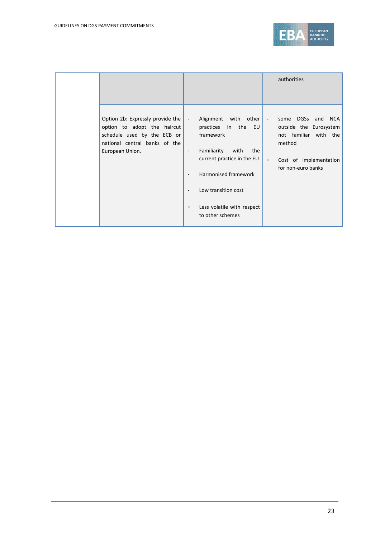

|                                                                                                                                                    |                                                      |                                                                                                                                                                                                                                        |                                                      | authorities                                                                                                                       |
|----------------------------------------------------------------------------------------------------------------------------------------------------|------------------------------------------------------|----------------------------------------------------------------------------------------------------------------------------------------------------------------------------------------------------------------------------------------|------------------------------------------------------|-----------------------------------------------------------------------------------------------------------------------------------|
| Option 2b: Expressly provide the<br>option to adopt the haircut<br>schedule used by the ECB or<br>national central banks of the<br>European Union. | $\overline{\phantom{a}}$<br>$\overline{\phantom{a}}$ | Alignment<br>with<br>other  <br>practices<br>in<br>the<br>EU<br>framework<br>Familiarity<br>with<br>the<br>current practice in the EU<br>Harmonised framework<br>Low transition cost<br>Less volatile with respect<br>to other schemes | $\overline{\phantom{a}}$<br>$\overline{\phantom{a}}$ | DGSs and NCA<br>some<br>outside the Eurosystem<br>not familiar with the<br>method<br>Cost of implementation<br>for non-euro banks |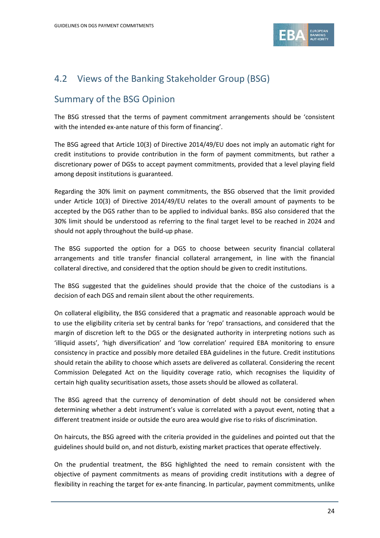

# 4.2 Views of the Banking Stakeholder Group (BSG)

## Summary of the BSG Opinion

The BSG stressed that the terms of payment commitment arrangements should be 'consistent with the intended ex-ante nature of this form of financing'.

The BSG agreed that Article 10(3) of Directive 2014/49/EU does not imply an automatic right for credit institutions to provide contribution in the form of payment commitments, but rather a discretionary power of DGSs to accept payment commitments, provided that a level playing field among deposit institutions is guaranteed.

Regarding the 30% limit on payment commitments, the BSG observed that the limit provided under Article 10(3) of Directive 2014/49/EU relates to the overall amount of payments to be accepted by the DGS rather than to be applied to individual banks. BSG also considered that the 30% limit should be understood as referring to the final target level to be reached in 2024 and should not apply throughout the build-up phase.

The BSG supported the option for a DGS to choose between security financial collateral arrangements and title transfer financial collateral arrangement, in line with the financial collateral directive, and considered that the option should be given to credit institutions.

The BSG suggested that the guidelines should provide that the choice of the custodians is a decision of each DGS and remain silent about the other requirements.

On collateral eligibility, the BSG considered that a pragmatic and reasonable approach would be to use the eligibility criteria set by central banks for 'repo' transactions, and considered that the margin of discretion left to the DGS or the designated authority in interpreting notions such as 'illiquid assets', 'high diversification' and 'low correlation' required EBA monitoring to ensure consistency in practice and possibly more detailed EBA guidelines in the future. Credit institutions should retain the ability to choose which assets are delivered as collateral. Considering the recent Commission Delegated Act on the liquidity coverage ratio, which recognises the liquidity of certain high quality securitisation assets, those assets should be allowed as collateral.

The BSG agreed that the currency of denomination of debt should not be considered when determining whether a debt instrument's value is correlated with a payout event, noting that a different treatment inside or outside the euro area would give rise to risks of discrimination.

On haircuts, the BSG agreed with the criteria provided in the guidelines and pointed out that the guidelines should build on, and not disturb, existing market practices that operate effectively.

On the prudential treatment, the BSG highlighted the need to remain consistent with the objective of payment commitments as means of providing credit institutions with a degree of flexibility in reaching the target for ex-ante financing. In particular, payment commitments, unlike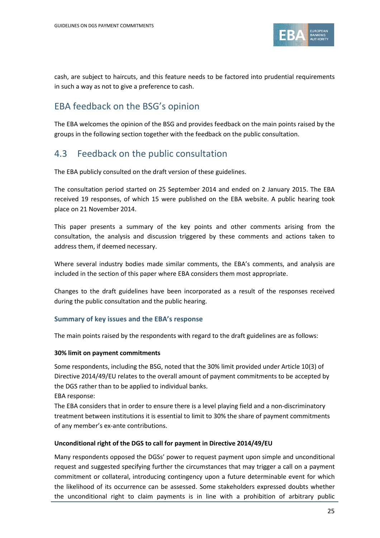

cash, are subject to haircuts, and this feature needs to be factored into prudential requirements in such a way as not to give a preference to cash.

## EBA feedback on the BSG's opinion

The EBA welcomes the opinion of the BSG and provides feedback on the main points raised by the groups in the following section together with the feedback on the public consultation.

## 4.3 Feedback on the public consultation

The EBA publicly consulted on the draft version of these guidelines.

The consultation period started on 25 September 2014 and ended on 2 January 2015. The EBA received 19 responses, of which 15 were published on the EBA website. A public hearing took place on 21 November 2014.

This paper presents a summary of the key points and other comments arising from the consultation, the analysis and discussion triggered by these comments and actions taken to address them, if deemed necessary.

Where several industry bodies made similar comments, the EBA's comments, and analysis are included in the section of this paper where EBA considers them most appropriate.

Changes to the draft guidelines have been incorporated as a result of the responses received during the public consultation and the public hearing.

#### **Summary of key issues and the EBA's response**

The main points raised by the respondents with regard to the draft guidelines are as follows:

#### **30% limit on payment commitments**

Some respondents, including the BSG, noted that the 30% limit provided under Article 10(3) of Directive 2014/49/EU relates to the overall amount of payment commitments to be accepted by the DGS rather than to be applied to individual banks.

EBA response:

The EBA considers that in order to ensure there is a level playing field and a non-discriminatory treatment between institutions it is essential to limit to 30% the share of payment commitments of any member's ex-ante contributions.

#### **Unconditional right of the DGS to call for payment in Directive 2014/49/EU**

Many respondents opposed the DGSs' power to request payment upon simple and unconditional request and suggested specifying further the circumstances that may trigger a call on a payment commitment or collateral, introducing contingency upon a future determinable event for which the likelihood of its occurrence can be assessed. Some stakeholders expressed doubts whether the unconditional right to claim payments is in line with a prohibition of arbitrary public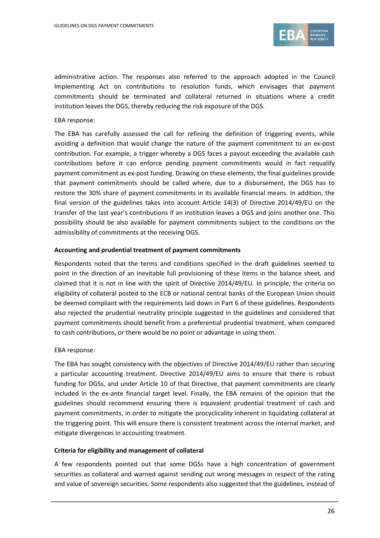

administrative action. The responses also referred to the approach adopted in the Council Implementing Act on contributions to resolution funds, which envisages that payment commitments should be terminated and collateral returned in situations where a credit institution leaves the DGS, thereby reducing the risk exposure of the DGS.

#### EBA response:

The EBA has carefully assessed the call for refining the definition of triggering events, while avoiding a definition that would change the nature of the payment commitment to an ex-post contribution. For example, a trigger whereby a DGS faces a payout exceeding the available cash contributions before it can enforce pending payment commitments would in fact requalify payment commitment as ex-post funding. Drawing on these elements, the final guidelines provide that payment commitments should be called where, due to a disbursement, the DGS has to restore the 30% share of payment commitments in its available financial means. In addition, the final version of the guidelines takes into account Article 14(3) of Directive 2014/49/EU on the transfer of the last year's contributions if an institution leaves a DGS and joins another one. This possibility should be also available for payment commitments subject to the conditions on the admissibility of commitments at the receiving DGS.

#### **Accounting and prudential treatment of payment commitments**

Respondents noted that the terms and conditions specified in the draft guidelines seemed to point in the direction of an inevitable full provisioning of these items in the balance sheet, and claimed that it is not in line with the spirit of Directive 2014/49/EU. In principle, the criteria on eligibility of collateral posted to the ECB or national central banks of the European Union should be deemed compliant with the requirements laid down in Part 6 of these guidelines. Respondents also rejected the prudential neutrality principle suggested in the guidelines and considered that payment commitments should benefit from a preferential prudential treatment, when compared to cash contributions, or there would be no point or advantage in using them.

#### EBA response:

The EBA has sought consistency with the objectives of Directive 2014/49/EU rather than securing a particular accounting treatment. Directive 2014/49/EU aims to ensure that there is robust funding for DGSs, and under Article 10 of that Directive, that payment commitments are clearly included in the ex-ante financial target level. Finally, the EBA remains of the opinion that the guidelines should recommend ensuring there is equivalent prudential treatment of cash and payment commitments, in order to mitigate the procyclicality inherent in liquidating collateral at the triggering point. This will ensure there is consistent treatment across the internal market, and mitigate divergences in accounting treatment.

#### **Criteria for eligibility and management of collateral**

A few respondents pointed out that some DGSs have a high concentration of government securities as collateral and warned against sending out wrong messages in respect of the rating and value of sovereign securities. Some respondents also suggested that the guidelines, instead of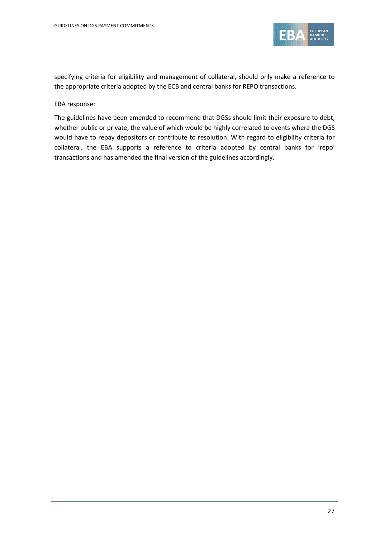

specifying criteria for eligibility and management of collateral, should only make a reference to the appropriate criteria adopted by the ECB and central banks for REPO transactions.

#### EBA response:

The guidelines have been amended to recommend that DGSs should limit their exposure to debt, whether public or private, the value of which would be highly correlated to events where the DGS would have to repay depositors or contribute to resolution. With regard to eligibility criteria for collateral, the EBA supports a reference to criteria adopted by central banks for 'repo' transactions and has amended the final version of the guidelines accordingly.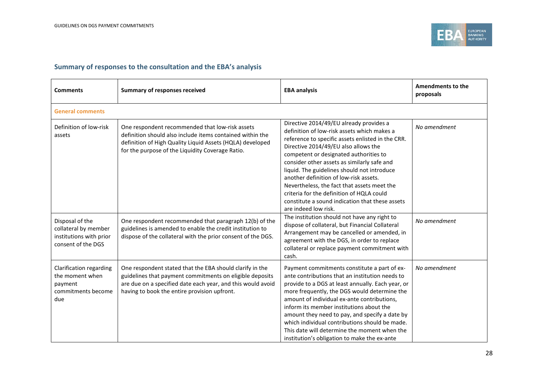

### **Summary of responses to the consultation and the EBA's analysis**

| <b>Comments</b>                                                                          | <b>Summary of responses received</b>                                                                                                                                                                                                | <b>EBA analysis</b>                                                                                                                                                                                                                                                                                                                                                                                                                                                                                                                                                                          | <b>Amendments to the</b><br>proposals |
|------------------------------------------------------------------------------------------|-------------------------------------------------------------------------------------------------------------------------------------------------------------------------------------------------------------------------------------|----------------------------------------------------------------------------------------------------------------------------------------------------------------------------------------------------------------------------------------------------------------------------------------------------------------------------------------------------------------------------------------------------------------------------------------------------------------------------------------------------------------------------------------------------------------------------------------------|---------------------------------------|
| <b>General comments</b>                                                                  |                                                                                                                                                                                                                                     |                                                                                                                                                                                                                                                                                                                                                                                                                                                                                                                                                                                              |                                       |
| Definition of low-risk<br>assets                                                         | One respondent recommended that low-risk assets<br>definition should also include items contained within the<br>definition of High Quality Liquid Assets (HQLA) developed<br>for the purpose of the Liquidity Coverage Ratio.       | Directive 2014/49/EU already provides a<br>definition of low-risk assets which makes a<br>reference to specific assets enlisted in the CRR.<br>Directive 2014/49/EU also allows the<br>competent or designated authorities to<br>consider other assets as similarly safe and<br>liquid. The guidelines should not introduce<br>another definition of low-risk assets.<br>Nevertheless, the fact that assets meet the<br>criteria for the definition of HQLA could<br>constitute a sound indication that these assets<br>are indeed low risk.<br>The institution should not have any right to | No amendment                          |
| Disposal of the<br>collateral by member<br>institutions with prior<br>consent of the DGS | One respondent recommended that paragraph 12(b) of the<br>guidelines is amended to enable the credit institution to<br>dispose of the collateral with the prior consent of the DGS.                                                 | dispose of collateral, but Financial Collateral<br>Arrangement may be cancelled or amended, in<br>agreement with the DGS, in order to replace<br>collateral or replace payment commitment with<br>cash.                                                                                                                                                                                                                                                                                                                                                                                      | No amendment                          |
| Clarification regarding<br>the moment when<br>payment<br>commitments become<br>due       | One respondent stated that the EBA should clarify in the<br>guidelines that payment commitments on eligible deposits<br>are due on a specified date each year, and this would avoid<br>having to book the entire provision upfront. | Payment commitments constitute a part of ex-<br>ante contributions that an institution needs to<br>provide to a DGS at least annually. Each year, or<br>more frequently, the DGS would determine the<br>amount of individual ex-ante contributions,<br>inform its member institutions about the<br>amount they need to pay, and specify a date by<br>which individual contributions should be made.<br>This date will determine the moment when the<br>institution's obligation to make the ex-ante                                                                                          | No amendment                          |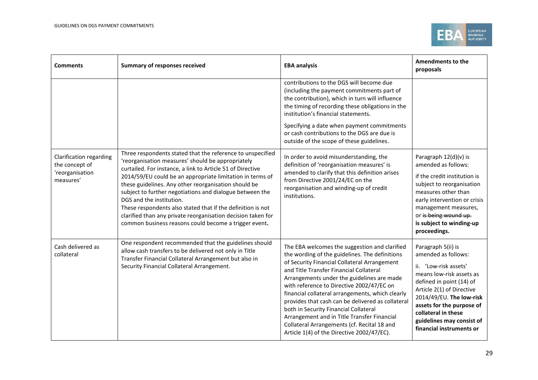

| <b>Comments</b>                                                           | <b>Summary of responses received</b>                                                                                                                                                                                                                                                                                                                                                                                                                                                                                                                                               | <b>EBA analysis</b>                                                                                                                                                                                                                                                                                                                                                                                                                                                                                                                                                                 | Amendments to the<br>proposals                                                                                                                                                                                                                                                                   |
|---------------------------------------------------------------------------|------------------------------------------------------------------------------------------------------------------------------------------------------------------------------------------------------------------------------------------------------------------------------------------------------------------------------------------------------------------------------------------------------------------------------------------------------------------------------------------------------------------------------------------------------------------------------------|-------------------------------------------------------------------------------------------------------------------------------------------------------------------------------------------------------------------------------------------------------------------------------------------------------------------------------------------------------------------------------------------------------------------------------------------------------------------------------------------------------------------------------------------------------------------------------------|--------------------------------------------------------------------------------------------------------------------------------------------------------------------------------------------------------------------------------------------------------------------------------------------------|
|                                                                           |                                                                                                                                                                                                                                                                                                                                                                                                                                                                                                                                                                                    | contributions to the DGS will become due<br>(including the payment commitments part of<br>the contribution), which in turn will influence<br>the timing of recording these obligations in the<br>institution's financial statements.<br>Specifying a date when payment commitments<br>or cash contributions to the DGS are due is<br>outside of the scope of these guidelines.                                                                                                                                                                                                      |                                                                                                                                                                                                                                                                                                  |
| Clarification regarding<br>the concept of<br>'reorganisation<br>measures' | Three respondents stated that the reference to unspecified<br>'reorganisation measures' should be appropriately<br>curtailed. For instance, a link to Article 51 of Directive<br>2014/59/EU could be an appropriate limitation in terms of<br>these guidelines. Any other reorganisation should be<br>subject to further negotiations and dialogue between the<br>DGS and the institution.<br>These respondents also stated that if the definition is not<br>clarified than any private reorganisation decision taken for<br>common business reasons could become a trigger event. | In order to avoid misunderstanding, the<br>definition of 'reorganisation measures' is<br>amended to clarify that this definition arises<br>from Directive 2001/24/EC on the<br>reorganisation and winding-up of credit<br>institutions.                                                                                                                                                                                                                                                                                                                                             | Paragraph 12(d)(v) is<br>amended as follows:<br>if the credit institution is<br>subject to reorganisation<br>measures other than<br>early intervention or crisis<br>management measures,<br>or is being wound up.<br>is subject to winding-up<br>proceedings.                                    |
| Cash delivered as<br>collateral                                           | One respondent recommended that the guidelines should<br>allow cash transfers to be delivered not only in Title<br>Transfer Financial Collateral Arrangement but also in<br>Security Financial Collateral Arrangement.                                                                                                                                                                                                                                                                                                                                                             | The EBA welcomes the suggestion and clarified<br>the wording of the guidelines. The definitions<br>of Security Financial Collateral Arrangement<br>and Title Transfer Financial Collateral<br>Arrangements under the guidelines are made<br>with reference to Directive 2002/47/EC on<br>financial collateral arrangements, which clearly<br>provides that cash can be delivered as collateral<br>both in Security Financial Collateral<br>Arrangement and in Title Transfer Financial<br>Collateral Arrangements (cf. Recital 18 and<br>Article 1(4) of the Directive 2002/47/EC). | Paragraph 5(ii) is<br>amended as follows:<br>ii. 'Low-risk assets'<br>means low-risk assets as<br>defined in point (14) of<br>Article 2(1) of Directive<br>2014/49/EU. The low-risk<br>assets for the purpose of<br>collateral in these<br>guidelines may consist of<br>financial instruments or |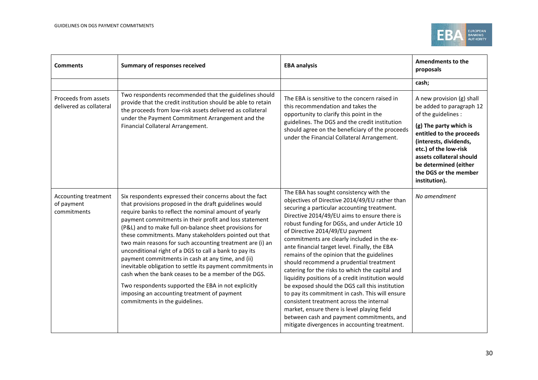

| <b>Comments</b>                                   | <b>Summary of responses received</b>                                                                                                                                                                                                                                                                                                                                                                                                                                                                                                                                                                                                                                                                                                                                                              | <b>EBA analysis</b>                                                                                                                                                                                                                                                                                                                                                                                                                                                                                                                                                                                                                                                                                                                                                                                                                                                          | <b>Amendments to the</b><br>proposals                                                                                                                                                                                                                                                |
|---------------------------------------------------|---------------------------------------------------------------------------------------------------------------------------------------------------------------------------------------------------------------------------------------------------------------------------------------------------------------------------------------------------------------------------------------------------------------------------------------------------------------------------------------------------------------------------------------------------------------------------------------------------------------------------------------------------------------------------------------------------------------------------------------------------------------------------------------------------|------------------------------------------------------------------------------------------------------------------------------------------------------------------------------------------------------------------------------------------------------------------------------------------------------------------------------------------------------------------------------------------------------------------------------------------------------------------------------------------------------------------------------------------------------------------------------------------------------------------------------------------------------------------------------------------------------------------------------------------------------------------------------------------------------------------------------------------------------------------------------|--------------------------------------------------------------------------------------------------------------------------------------------------------------------------------------------------------------------------------------------------------------------------------------|
|                                                   |                                                                                                                                                                                                                                                                                                                                                                                                                                                                                                                                                                                                                                                                                                                                                                                                   |                                                                                                                                                                                                                                                                                                                                                                                                                                                                                                                                                                                                                                                                                                                                                                                                                                                                              | cash;                                                                                                                                                                                                                                                                                |
| Proceeds from assets<br>delivered as collateral   | Two respondents recommended that the guidelines should<br>provide that the credit institution should be able to retain<br>the proceeds from low-risk assets delivered as collateral<br>under the Payment Commitment Arrangement and the<br>Financial Collateral Arrangement.                                                                                                                                                                                                                                                                                                                                                                                                                                                                                                                      | The EBA is sensitive to the concern raised in<br>this recommendation and takes the<br>opportunity to clarify this point in the<br>guidelines. The DGS and the credit institution<br>should agree on the beneficiary of the proceeds<br>under the Financial Collateral Arrangement.                                                                                                                                                                                                                                                                                                                                                                                                                                                                                                                                                                                           | A new provision (g) shall<br>be added to paragraph 12<br>of the guidelines :<br>(g) The party which is<br>entitled to the proceeds<br>(interests, dividends,<br>etc.) of the low-risk<br>assets collateral should<br>be determined (either<br>the DGS or the member<br>institution). |
| Accounting treatment<br>of payment<br>commitments | Six respondents expressed their concerns about the fact<br>that provisions proposed in the draft guidelines would<br>require banks to reflect the nominal amount of yearly<br>payment commitments in their profit and loss statement<br>(P&L) and to make full on-balance sheet provisions for<br>these commitments. Many stakeholders pointed out that<br>two main reasons for such accounting treatment are (i) an<br>unconditional right of a DGS to call a bank to pay its<br>payment commitments in cash at any time, and (ii)<br>inevitable obligation to settle its payment commitments in<br>cash when the bank ceases to be a member of the DGS.<br>Two respondents supported the EBA in not explicitly<br>imposing an accounting treatment of payment<br>commitments in the guidelines. | The EBA has sought consistency with the<br>objectives of Directive 2014/49/EU rather than<br>securing a particular accounting treatment.<br>Directive 2014/49/EU aims to ensure there is<br>robust funding for DGSs, and under Article 10<br>of Directive 2014/49/EU payment<br>commitments are clearly included in the ex-<br>ante financial target level. Finally, the EBA<br>remains of the opinion that the guidelines<br>should recommend a prudential treatment<br>catering for the risks to which the capital and<br>liquidity positions of a credit institution would<br>be exposed should the DGS call this institution<br>to pay its commitment in cash. This will ensure<br>consistent treatment across the internal<br>market, ensure there is level playing field<br>between cash and payment commitments, and<br>mitigate divergences in accounting treatment. | No amendment                                                                                                                                                                                                                                                                         |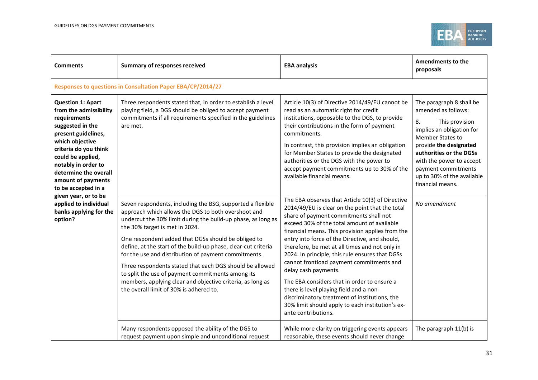

| <b>Comments</b>                                                                                                                                                                                                                                                             | <b>Summary of responses received</b>                                                                                                                                                                                                                                                                                                                                                                                                                                                                                                                                                                                           | <b>EBA analysis</b>                                                                                                                                                                                                                                                                                                                                                                                                                                                                                                                                                                                                                                                                               | <b>Amendments to the</b><br>proposals                                                                                                                                                                                                                                                     |  |  |
|-----------------------------------------------------------------------------------------------------------------------------------------------------------------------------------------------------------------------------------------------------------------------------|--------------------------------------------------------------------------------------------------------------------------------------------------------------------------------------------------------------------------------------------------------------------------------------------------------------------------------------------------------------------------------------------------------------------------------------------------------------------------------------------------------------------------------------------------------------------------------------------------------------------------------|---------------------------------------------------------------------------------------------------------------------------------------------------------------------------------------------------------------------------------------------------------------------------------------------------------------------------------------------------------------------------------------------------------------------------------------------------------------------------------------------------------------------------------------------------------------------------------------------------------------------------------------------------------------------------------------------------|-------------------------------------------------------------------------------------------------------------------------------------------------------------------------------------------------------------------------------------------------------------------------------------------|--|--|
|                                                                                                                                                                                                                                                                             | Responses to questions in Consultation Paper EBA/CP/2014/27                                                                                                                                                                                                                                                                                                                                                                                                                                                                                                                                                                    |                                                                                                                                                                                                                                                                                                                                                                                                                                                                                                                                                                                                                                                                                                   |                                                                                                                                                                                                                                                                                           |  |  |
| <b>Question 1: Apart</b><br>from the admissibility<br>requirements<br>suggested in the<br>present guidelines,<br>which objective<br>criteria do you think<br>could be applied,<br>notably in order to<br>determine the overall<br>amount of payments<br>to be accepted in a | Three respondents stated that, in order to establish a level<br>playing field, a DGS should be obliged to accept payment<br>commitments if all requirements specified in the guidelines<br>are met.                                                                                                                                                                                                                                                                                                                                                                                                                            | Article 10(3) of Directive 2014/49/EU cannot be<br>read as an automatic right for credit<br>institutions, opposable to the DGS, to provide<br>their contributions in the form of payment<br>commitments.<br>In contrast, this provision implies an obligation<br>for Member States to provide the designated<br>authorities or the DGS with the power to<br>accept payment commitments up to 30% of the<br>available financial means.                                                                                                                                                                                                                                                             | The paragraph 8 shall be<br>amended as follows:<br>8.<br>This provision<br>implies an obligation for<br><b>Member States to</b><br>provide the designated<br>authorities or the DGSs<br>with the power to accept<br>payment commitments<br>up to 30% of the available<br>financial means. |  |  |
| given year, or to be<br>applied to individual<br>banks applying for the<br>option?                                                                                                                                                                                          | Seven respondents, including the BSG, supported a flexible<br>approach which allows the DGS to both overshoot and<br>undercut the 30% limit during the build-up phase, as long as<br>the 30% target is met in 2024.<br>One respondent added that DGSs should be obliged to<br>define, at the start of the build-up phase, clear-cut criteria<br>for the use and distribution of payment commitments.<br>Three respondents stated that each DGS should be allowed<br>to split the use of payment commitments among its<br>members, applying clear and objective criteria, as long as<br>the overall limit of 30% is adhered to. | The EBA observes that Article 10(3) of Directive<br>2014/49/EU is clear on the point that the total<br>share of payment commitments shall not<br>exceed 30% of the total amount of available<br>financial means. This provision applies from the<br>entry into force of the Directive, and should,<br>therefore, be met at all times and not only in<br>2024. In principle, this rule ensures that DGSs<br>cannot frontload payment commitments and<br>delay cash payments.<br>The EBA considers that in order to ensure a<br>there is level playing field and a non-<br>discriminatory treatment of institutions, the<br>30% limit should apply to each institution's ex-<br>ante contributions. | No amendment                                                                                                                                                                                                                                                                              |  |  |
|                                                                                                                                                                                                                                                                             | Many respondents opposed the ability of the DGS to<br>request payment upon simple and unconditional request                                                                                                                                                                                                                                                                                                                                                                                                                                                                                                                    | While more clarity on triggering events appears<br>reasonable, these events should never change                                                                                                                                                                                                                                                                                                                                                                                                                                                                                                                                                                                                   | The paragraph 11(b) is                                                                                                                                                                                                                                                                    |  |  |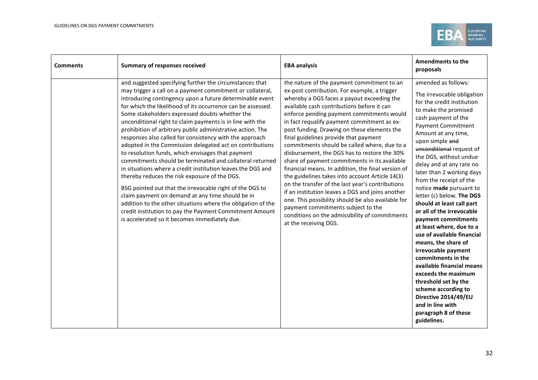

| <b>Comments</b> | <b>Summary of responses received</b>                                                                                                                                                                                                                                                                                                                                                                                                                                                                                                                                                                                                                                                                                                                                                                                                                                                                                                                                                                                                                                             | <b>EBA analysis</b>                                                                                                                                                                                                                                                                                                                                                                                                                                                                                                                                                                                                                                                                                                                                                                                                                                                                                                 | <b>Amendments to the</b><br>proposals                                                                                                                                                                                                                                                                                                                                                                                                                                                                                                                                                                                                                                                                                                                                                                        |
|-----------------|----------------------------------------------------------------------------------------------------------------------------------------------------------------------------------------------------------------------------------------------------------------------------------------------------------------------------------------------------------------------------------------------------------------------------------------------------------------------------------------------------------------------------------------------------------------------------------------------------------------------------------------------------------------------------------------------------------------------------------------------------------------------------------------------------------------------------------------------------------------------------------------------------------------------------------------------------------------------------------------------------------------------------------------------------------------------------------|---------------------------------------------------------------------------------------------------------------------------------------------------------------------------------------------------------------------------------------------------------------------------------------------------------------------------------------------------------------------------------------------------------------------------------------------------------------------------------------------------------------------------------------------------------------------------------------------------------------------------------------------------------------------------------------------------------------------------------------------------------------------------------------------------------------------------------------------------------------------------------------------------------------------|--------------------------------------------------------------------------------------------------------------------------------------------------------------------------------------------------------------------------------------------------------------------------------------------------------------------------------------------------------------------------------------------------------------------------------------------------------------------------------------------------------------------------------------------------------------------------------------------------------------------------------------------------------------------------------------------------------------------------------------------------------------------------------------------------------------|
|                 | and suggested specifying further the circumstances that<br>may trigger a call on a payment commitment or collateral,<br>introducing contingency upon a future determinable event<br>for which the likelihood of its occurrence can be assessed.<br>Some stakeholders expressed doubts whether the<br>unconditional right to claim payments is in line with the<br>prohibition of arbitrary public administrative action. The<br>responses also called for consistency with the approach<br>adopted in the Commission delegated act on contributions<br>to resolution funds, which envisages that payment<br>commitments should be terminated and collateral returned<br>in situations where a credit institution leaves the DGS and<br>thereby reduces the risk exposure of the DGS.<br>BSG pointed out that the irrevocable right of the DGS to<br>claim payment on demand at any time should be in<br>addition to the other situations where the obligation of the<br>credit institution to pay the Payment Commitment Amount<br>is accelerated so it becomes immediately due. | the nature of the payment commitment to an<br>ex-post contribution. For example, a trigger<br>whereby a DGS faces a payout exceeding the<br>available cash contributions before it can<br>enforce pending payment commitments would<br>in fact requalify payment commitment as ex-<br>post funding. Drawing on these elements the<br>final guidelines provide that payment<br>commitments should be called where, due to a<br>disbursement, the DGS has to restore the 30%<br>share of payment commitments in its available<br>financial means. In addition, the final version of<br>the guidelines takes into account Article 14(3)<br>on the transfer of the last year's contributions<br>if an institution leaves a DGS and joins another<br>one. This possibility should be also available for<br>payment commitments subject to the<br>conditions on the admissibility of commitments<br>at the receiving DGS. | amended as follows:<br>The irrevocable obligation<br>for the credit institution<br>to make the promised<br>cash payment of the<br><b>Payment Commitment</b><br>Amount at any time,<br>upon simple and<br>unconditional request of<br>the DGS, without undue<br>delay and at any rate no<br>later than 2 working days<br>from the receipt of the<br>notice made pursuant to<br>letter (c) below. The DGS<br>should at least call part<br>or all of the irrevocable<br>payment commitments<br>at least where, due to a<br>use of available financial<br>means, the share of<br>irrevocable payment<br>commitments in the<br>available financial means<br>exceeds the maximum<br>threshold set by the<br>scheme according to<br>Directive 2014/49/EU<br>and in line with<br>paragraph 8 of these<br>guidelines. |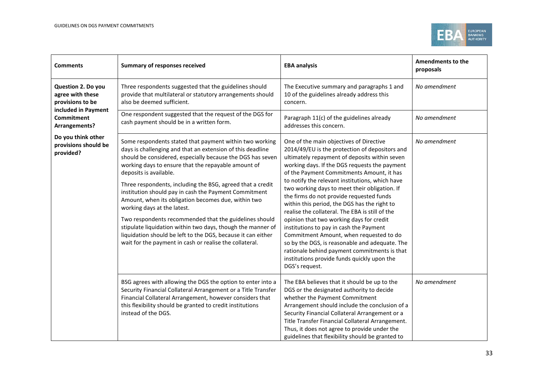

| <b>Comments</b>                                            | <b>Summary of responses received</b>                                                                                                                                                                                                                                                                                                                                                                                                                                                                                                                                                                                                                                                                                                  | <b>EBA analysis</b>                                                                                                                                                                                                                                                                                                                                                                                                                                                                                                                                                                                                                                                                                                                                                                              | Amendments to the<br>proposals |
|------------------------------------------------------------|---------------------------------------------------------------------------------------------------------------------------------------------------------------------------------------------------------------------------------------------------------------------------------------------------------------------------------------------------------------------------------------------------------------------------------------------------------------------------------------------------------------------------------------------------------------------------------------------------------------------------------------------------------------------------------------------------------------------------------------|--------------------------------------------------------------------------------------------------------------------------------------------------------------------------------------------------------------------------------------------------------------------------------------------------------------------------------------------------------------------------------------------------------------------------------------------------------------------------------------------------------------------------------------------------------------------------------------------------------------------------------------------------------------------------------------------------------------------------------------------------------------------------------------------------|--------------------------------|
| Question 2. Do you<br>agree with these<br>provisions to be | Three respondents suggested that the guidelines should<br>provide that multilateral or statutory arrangements should<br>also be deemed sufficient.                                                                                                                                                                                                                                                                                                                                                                                                                                                                                                                                                                                    | The Executive summary and paragraphs 1 and<br>10 of the guidelines already address this<br>concern.                                                                                                                                                                                                                                                                                                                                                                                                                                                                                                                                                                                                                                                                                              | No amendment                   |
| included in Payment<br><b>Commitment</b><br>Arrangements?  | One respondent suggested that the request of the DGS for<br>cash payment should be in a written form.                                                                                                                                                                                                                                                                                                                                                                                                                                                                                                                                                                                                                                 | Paragraph 11(c) of the guidelines already<br>addresses this concern.                                                                                                                                                                                                                                                                                                                                                                                                                                                                                                                                                                                                                                                                                                                             | No amendment                   |
| Do you think other<br>provisions should be<br>provided?    | Some respondents stated that payment within two working<br>days is challenging and that an extension of this deadline<br>should be considered, especially because the DGS has seven<br>working days to ensure that the repayable amount of<br>deposits is available.<br>Three respondents, including the BSG, agreed that a credit<br>institution should pay in cash the Payment Commitment<br>Amount, when its obligation becomes due, within two<br>working days at the latest.<br>Two respondents recommended that the guidelines should<br>stipulate liquidation within two days, though the manner of<br>liquidation should be left to the DGS, because it can either<br>wait for the payment in cash or realise the collateral. | One of the main objectives of Directive<br>2014/49/EU is the protection of depositors and<br>ultimately repayment of deposits within seven<br>working days. If the DGS requests the payment<br>of the Payment Commitments Amount, it has<br>to notify the relevant institutions, which have<br>two working days to meet their obligation. If<br>the firms do not provide requested funds<br>within this period, the DGS has the right to<br>realise the collateral. The EBA is still of the<br>opinion that two working days for credit<br>institutions to pay in cash the Payment<br>Commitment Amount, when requested to do<br>so by the DGS, is reasonable and adequate. The<br>rationale behind payment commitments is that<br>institutions provide funds quickly upon the<br>DGS's request. | No amendment                   |
|                                                            | BSG agrees with allowing the DGS the option to enter into a<br>Security Financial Collateral Arrangement or a Title Transfer<br>Financial Collateral Arrangement, however considers that<br>this flexibility should be granted to credit institutions<br>instead of the DGS.                                                                                                                                                                                                                                                                                                                                                                                                                                                          | The EBA believes that it should be up to the<br>DGS or the designated authority to decide<br>whether the Payment Commitment<br>Arrangement should include the conclusion of a<br>Security Financial Collateral Arrangement or a<br>Title Transfer Financial Collateral Arrangement.<br>Thus, it does not agree to provide under the<br>guidelines that flexibility should be granted to                                                                                                                                                                                                                                                                                                                                                                                                          | No amendment                   |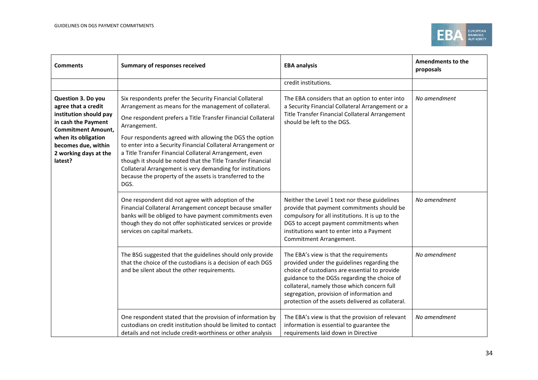

| <b>Comments</b>                                                                                                                                                                                           | <b>Summary of responses received</b>                                                                                                                                                                                                                                                                                                                                                                                                                                                                                                                                                      | <b>EBA analysis</b>                                                                                                                                                                                                                                                                                                                      | Amendments to the<br>proposals |
|-----------------------------------------------------------------------------------------------------------------------------------------------------------------------------------------------------------|-------------------------------------------------------------------------------------------------------------------------------------------------------------------------------------------------------------------------------------------------------------------------------------------------------------------------------------------------------------------------------------------------------------------------------------------------------------------------------------------------------------------------------------------------------------------------------------------|------------------------------------------------------------------------------------------------------------------------------------------------------------------------------------------------------------------------------------------------------------------------------------------------------------------------------------------|--------------------------------|
|                                                                                                                                                                                                           |                                                                                                                                                                                                                                                                                                                                                                                                                                                                                                                                                                                           | credit institutions.                                                                                                                                                                                                                                                                                                                     |                                |
| Question 3. Do you<br>agree that a credit<br>institution should pay<br>in cash the Payment<br><b>Commitment Amount,</b><br>when its obligation<br>becomes due, within<br>2 working days at the<br>latest? | Six respondents prefer the Security Financial Collateral<br>Arrangement as means for the management of collateral.<br>One respondent prefers a Title Transfer Financial Collateral<br>Arrangement.<br>Four respondents agreed with allowing the DGS the option<br>to enter into a Security Financial Collateral Arrangement or<br>a Title Transfer Financial Collateral Arrangement, even<br>though it should be noted that the Title Transfer Financial<br>Collateral Arrangement is very demanding for institutions<br>because the property of the assets is transferred to the<br>DGS. | The EBA considers that an option to enter into<br>a Security Financial Collateral Arrangement or a<br>Title Transfer Financial Collateral Arrangement<br>should be left to the DGS.                                                                                                                                                      | No amendment                   |
|                                                                                                                                                                                                           | One respondent did not agree with adoption of the<br>Financial Collateral Arrangement concept because smaller<br>banks will be obliged to have payment commitments even<br>though they do not offer sophisticated services or provide<br>services on capital markets.                                                                                                                                                                                                                                                                                                                     | Neither the Level 1 text nor these guidelines<br>provide that payment commitments should be<br>compulsory for all institutions. It is up to the<br>DGS to accept payment commitments when<br>institutions want to enter into a Payment<br>Commitment Arrangement.                                                                        | No amendment                   |
|                                                                                                                                                                                                           | The BSG suggested that the guidelines should only provide<br>that the choice of the custodians is a decision of each DGS<br>and be silent about the other requirements.                                                                                                                                                                                                                                                                                                                                                                                                                   | The EBA's view is that the requirements<br>provided under the guidelines regarding the<br>choice of custodians are essential to provide<br>guidance to the DGSs regarding the choice of<br>collateral, namely those which concern full<br>segregation, provision of information and<br>protection of the assets delivered as collateral. | No amendment                   |
|                                                                                                                                                                                                           | One respondent stated that the provision of information by<br>custodians on credit institution should be limited to contact<br>details and not include credit-worthiness or other analysis                                                                                                                                                                                                                                                                                                                                                                                                | The EBA's view is that the provision of relevant<br>information is essential to guarantee the<br>requirements laid down in Directive                                                                                                                                                                                                     | No amendment                   |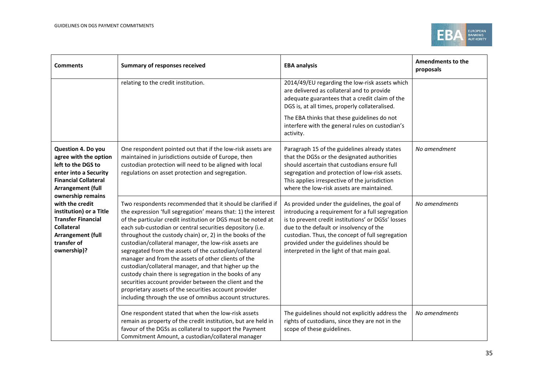

| <b>Comments</b>                                                                                                                                                            | <b>Summary of responses received</b>                                                                                                                                                                                                                                                                                                                                                                                                                                                                                                                                                                                                                                                                                                                                                            | <b>EBA analysis</b>                                                                                                                                                                                                                                                                                                                              | Amendments to the<br>proposals |
|----------------------------------------------------------------------------------------------------------------------------------------------------------------------------|-------------------------------------------------------------------------------------------------------------------------------------------------------------------------------------------------------------------------------------------------------------------------------------------------------------------------------------------------------------------------------------------------------------------------------------------------------------------------------------------------------------------------------------------------------------------------------------------------------------------------------------------------------------------------------------------------------------------------------------------------------------------------------------------------|--------------------------------------------------------------------------------------------------------------------------------------------------------------------------------------------------------------------------------------------------------------------------------------------------------------------------------------------------|--------------------------------|
|                                                                                                                                                                            | relating to the credit institution.                                                                                                                                                                                                                                                                                                                                                                                                                                                                                                                                                                                                                                                                                                                                                             | 2014/49/EU regarding the low-risk assets which<br>are delivered as collateral and to provide<br>adequate guarantees that a credit claim of the<br>DGS is, at all times, properly collateralised.<br>The EBA thinks that these guidelines do not                                                                                                  |                                |
|                                                                                                                                                                            |                                                                                                                                                                                                                                                                                                                                                                                                                                                                                                                                                                                                                                                                                                                                                                                                 | interfere with the general rules on custodian's<br>activity.                                                                                                                                                                                                                                                                                     |                                |
| Question 4. Do you<br>agree with the option<br>left to the DGS to<br>enter into a Security<br><b>Financial Collateral</b><br><b>Arrangement (full</b><br>ownership remains | One respondent pointed out that if the low-risk assets are<br>maintained in jurisdictions outside of Europe, then<br>custodian protection will need to be aligned with local<br>regulations on asset protection and segregation.                                                                                                                                                                                                                                                                                                                                                                                                                                                                                                                                                                | Paragraph 15 of the guidelines already states<br>that the DGSs or the designated authorities<br>should ascertain that custodians ensure full<br>segregation and protection of low-risk assets.<br>This applies irrespective of the jurisdiction<br>where the low-risk assets are maintained.                                                     | No amendment                   |
| with the credit<br>institution) or a Title<br><b>Transfer Financial</b><br><b>Collateral</b><br><b>Arrangement (full</b><br>transfer of<br>ownership)?                     | Two respondents recommended that it should be clarified if<br>the expression 'full segregation' means that: 1) the interest<br>of the particular credit institution or DGS must be noted at<br>each sub-custodian or central securities depository (i.e.<br>throughout the custody chain) or, 2) in the books of the<br>custodian/collateral manager, the low-risk assets are<br>segregated from the assets of the custodian/collateral<br>manager and from the assets of other clients of the<br>custodian/collateral manager, and that higher up the<br>custody chain there is segregation in the books of any<br>securities account provider between the client and the<br>proprietary assets of the securities account provider<br>including through the use of omnibus account structures. | As provided under the guidelines, the goal of<br>introducing a requirement for a full segregation<br>is to prevent credit institutions' or DGSs' losses<br>due to the default or insolvency of the<br>custodian. Thus, the concept of full segregation<br>provided under the guidelines should be<br>interpreted in the light of that main goal. | No amendments                  |
|                                                                                                                                                                            | One respondent stated that when the low-risk assets<br>remain as property of the credit institution, but are held in<br>favour of the DGSs as collateral to support the Payment<br>Commitment Amount, a custodian/collateral manager                                                                                                                                                                                                                                                                                                                                                                                                                                                                                                                                                            | The guidelines should not explicitly address the<br>rights of custodians, since they are not in the<br>scope of these guidelines.                                                                                                                                                                                                                | No amendments                  |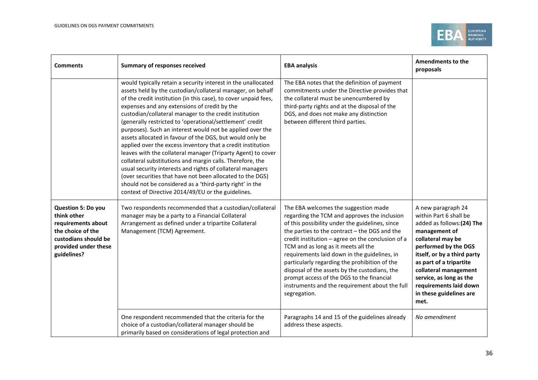

| <b>Comments</b>                                                                                                                             | <b>Summary of responses received</b>                                                                                                                                                                                                                                                                                                                                                                                                                                                                                                                                                                                                                                                                                                                                                                                                                                                                                                   | <b>EBA analysis</b>                                                                                                                                                                                                                                                                                                                                                                                                                                                                                                                                   | <b>Amendments to the</b><br>proposals                                                                                                                                                                                                                                                                              |
|---------------------------------------------------------------------------------------------------------------------------------------------|----------------------------------------------------------------------------------------------------------------------------------------------------------------------------------------------------------------------------------------------------------------------------------------------------------------------------------------------------------------------------------------------------------------------------------------------------------------------------------------------------------------------------------------------------------------------------------------------------------------------------------------------------------------------------------------------------------------------------------------------------------------------------------------------------------------------------------------------------------------------------------------------------------------------------------------|-------------------------------------------------------------------------------------------------------------------------------------------------------------------------------------------------------------------------------------------------------------------------------------------------------------------------------------------------------------------------------------------------------------------------------------------------------------------------------------------------------------------------------------------------------|--------------------------------------------------------------------------------------------------------------------------------------------------------------------------------------------------------------------------------------------------------------------------------------------------------------------|
|                                                                                                                                             | would typically retain a security interest in the unallocated<br>assets held by the custodian/collateral manager, on behalf<br>of the credit institution (in this case), to cover unpaid fees,<br>expenses and any extensions of credit by the<br>custodian/collateral manager to the credit institution<br>(generally restricted to 'operational/settlement' credit<br>purposes). Such an interest would not be applied over the<br>assets allocated in favour of the DGS, but would only be<br>applied over the excess inventory that a credit institution<br>leaves with the collateral manager (Triparty Agent) to cover<br>collateral substitutions and margin calls. Therefore, the<br>usual security interests and rights of collateral managers<br>(over securities that have not been allocated to the DGS)<br>should not be considered as a 'third-party right' in the<br>context of Directive 2014/49/EU or the guidelines. | The EBA notes that the definition of payment<br>commitments under the Directive provides that<br>the collateral must be unencumbered by<br>third-party rights and at the disposal of the<br>DGS, and does not make any distinction<br>between different third parties.                                                                                                                                                                                                                                                                                |                                                                                                                                                                                                                                                                                                                    |
| Question 5: Do you<br>think other<br>requirements about<br>the choice of the<br>custodians should be<br>provided under these<br>guidelines? | Two respondents recommended that a custodian/collateral<br>manager may be a party to a Financial Collateral<br>Arrangement as defined under a tripartite Collateral<br>Management (TCM) Agreement.                                                                                                                                                                                                                                                                                                                                                                                                                                                                                                                                                                                                                                                                                                                                     | The EBA welcomes the suggestion made<br>regarding the TCM and approves the inclusion<br>of this possibility under the guidelines, since<br>the parties to the contract - the DGS and the<br>credit institution - agree on the conclusion of a<br>TCM and as long as it meets all the<br>requirements laid down in the guidelines, in<br>particularly regarding the prohibition of the<br>disposal of the assets by the custodians, the<br>prompt access of the DGS to the financial<br>instruments and the requirement about the full<br>segregation. | A new paragraph 24<br>within Part 6 shall be<br>added as follows:(24) The<br>management of<br>collateral may be<br>performed by the DGS<br>itself, or by a third party<br>as part of a tripartite<br>collateral management<br>service, as long as the<br>requirements laid down<br>in these guidelines are<br>met. |
|                                                                                                                                             | One respondent recommended that the criteria for the<br>choice of a custodian/collateral manager should be<br>primarily based on considerations of legal protection and                                                                                                                                                                                                                                                                                                                                                                                                                                                                                                                                                                                                                                                                                                                                                                | Paragraphs 14 and 15 of the guidelines already<br>address these aspects.                                                                                                                                                                                                                                                                                                                                                                                                                                                                              | No amendment                                                                                                                                                                                                                                                                                                       |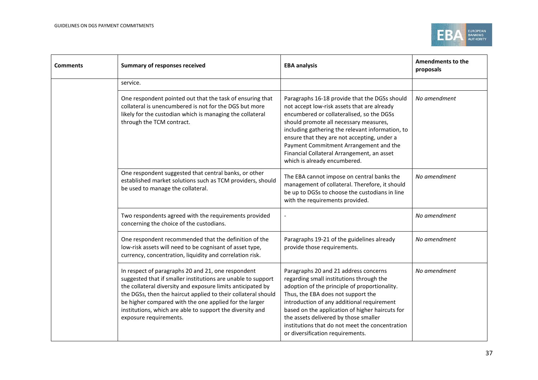

| <b>Comments</b> | <b>Summary of responses received</b>                                                                                                                                                                                                                                                                                                                                                                | <b>EBA analysis</b>                                                                                                                                                                                                                                                                                                                                                                                            | <b>Amendments to the</b><br>proposals |
|-----------------|-----------------------------------------------------------------------------------------------------------------------------------------------------------------------------------------------------------------------------------------------------------------------------------------------------------------------------------------------------------------------------------------------------|----------------------------------------------------------------------------------------------------------------------------------------------------------------------------------------------------------------------------------------------------------------------------------------------------------------------------------------------------------------------------------------------------------------|---------------------------------------|
|                 | service.                                                                                                                                                                                                                                                                                                                                                                                            |                                                                                                                                                                                                                                                                                                                                                                                                                |                                       |
|                 | One respondent pointed out that the task of ensuring that<br>collateral is unencumbered is not for the DGS but more<br>likely for the custodian which is managing the collateral<br>through the TCM contract.                                                                                                                                                                                       | Paragraphs 16-18 provide that the DGSs should<br>not accept low-risk assets that are already<br>encumbered or collateralised, so the DGSs<br>should promote all necessary measures,<br>including gathering the relevant information, to<br>ensure that they are not accepting, under a<br>Payment Commitment Arrangement and the<br>Financial Collateral Arrangement, an asset<br>which is already encumbered. | No amendment                          |
|                 | One respondent suggested that central banks, or other<br>established market solutions such as TCM providers, should<br>be used to manage the collateral.                                                                                                                                                                                                                                            | The EBA cannot impose on central banks the<br>management of collateral. Therefore, it should<br>be up to DGSs to choose the custodians in line<br>with the requirements provided.                                                                                                                                                                                                                              | No amendment                          |
|                 | Two respondents agreed with the requirements provided<br>concerning the choice of the custodians.                                                                                                                                                                                                                                                                                                   |                                                                                                                                                                                                                                                                                                                                                                                                                | No amendment                          |
|                 | One respondent recommended that the definition of the<br>low-risk assets will need to be cognisant of asset type,<br>currency, concentration, liquidity and correlation risk.                                                                                                                                                                                                                       | Paragraphs 19-21 of the guidelines already<br>provide those requirements.                                                                                                                                                                                                                                                                                                                                      | No amendment                          |
|                 | In respect of paragraphs 20 and 21, one respondent<br>suggested that if smaller institutions are unable to support<br>the collateral diversity and exposure limits anticipated by<br>the DGSs, then the haircut applied to their collateral should<br>be higher compared with the one applied for the larger<br>institutions, which are able to support the diversity and<br>exposure requirements. | Paragraphs 20 and 21 address concerns<br>regarding small institutions through the<br>adoption of the principle of proportionality.<br>Thus, the EBA does not support the<br>introduction of any additional requirement<br>based on the application of higher haircuts for<br>the assets delivered by those smaller<br>institutions that do not meet the concentration<br>or diversification requirements.      | No amendment                          |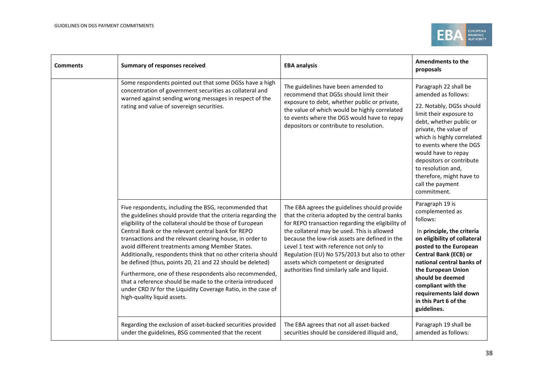

| <b>Comments</b> | <b>Summary of responses received</b>                                                                                                                                                                                                                                                                                                                                                                                                                                                                                                                                                                                                                                                                             | <b>EBA analysis</b>                                                                                                                                                                                                                                                                                                                                                                                                                     | <b>Amendments to the</b><br>proposals                                                                                                                                                                                                                                                                                                                    |
|-----------------|------------------------------------------------------------------------------------------------------------------------------------------------------------------------------------------------------------------------------------------------------------------------------------------------------------------------------------------------------------------------------------------------------------------------------------------------------------------------------------------------------------------------------------------------------------------------------------------------------------------------------------------------------------------------------------------------------------------|-----------------------------------------------------------------------------------------------------------------------------------------------------------------------------------------------------------------------------------------------------------------------------------------------------------------------------------------------------------------------------------------------------------------------------------------|----------------------------------------------------------------------------------------------------------------------------------------------------------------------------------------------------------------------------------------------------------------------------------------------------------------------------------------------------------|
|                 | Some respondents pointed out that some DGSs have a high<br>concentration of government securities as collateral and<br>warned against sending wrong messages in respect of the<br>rating and value of sovereign securities.                                                                                                                                                                                                                                                                                                                                                                                                                                                                                      | The guidelines have been amended to<br>recommend that DGSs should limit their<br>exposure to debt, whether public or private,<br>the value of which would be highly correlated<br>to events where the DGS would have to repay<br>depositors or contribute to resolution.                                                                                                                                                                | Paragraph 22 shall be<br>amended as follows:<br>22. Notably, DGSs should<br>limit their exposure to<br>debt, whether public or<br>private, the value of<br>which is highly correlated<br>to events where the DGS<br>would have to repay<br>depositors or contribute<br>to resolution and,<br>therefore, might have to<br>call the payment<br>commitment. |
|                 | Five respondents, including the BSG, recommended that<br>the guidelines should provide that the criteria regarding the<br>eligibility of the collateral should be those of European<br>Central Bank or the relevant central bank for REPO<br>transactions and the relevant clearing house, in order to<br>avoid different treatments among Member States.<br>Additionally, respondents think that no other criteria should<br>be defined (thus, points 20, 21 and 22 should be deleted)<br>Furthermore, one of these respondents also recommended,<br>that a reference should be made to the criteria introduced<br>under CRD IV for the Liquidity Coverage Ratio, in the case of<br>high-quality liquid assets. | The EBA agrees the guidelines should provide<br>that the criteria adopted by the central banks<br>for REPO transaction regarding the eligibility of<br>the collateral may be used. This is allowed<br>because the low-risk assets are defined in the<br>Level 1 text with reference not only to<br>Regulation (EU) No 575/2013 but also to other<br>assets which competent or designated<br>authorities find similarly safe and liquid. | Paragraph 19 is<br>complemented as<br>follows:<br>In principle, the criteria<br>on eligibility of collateral<br>posted to the European<br><b>Central Bank (ECB) or</b><br>national central banks of<br>the European Union<br>should be deemed<br>compliant with the<br>requirements laid down<br>in this Part 6 of the<br>guidelines.                    |
|                 | Regarding the exclusion of asset-backed securities provided<br>under the guidelines, BSG commented that the recent                                                                                                                                                                                                                                                                                                                                                                                                                                                                                                                                                                                               | The EBA agrees that not all asset-backed<br>securities should be considered illiquid and,                                                                                                                                                                                                                                                                                                                                               | Paragraph 19 shall be<br>amended as follows:                                                                                                                                                                                                                                                                                                             |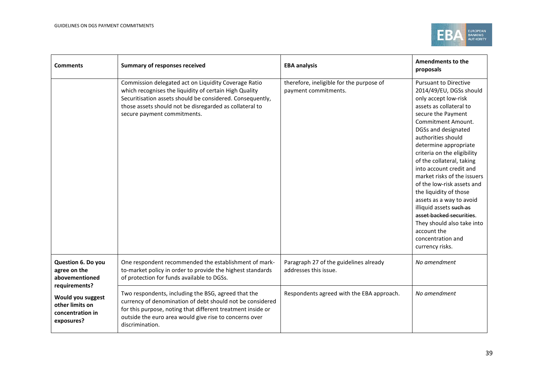

| <b>Comments</b>                                                        | <b>Summary of responses received</b>                                                                                                                                                                                                                                  | <b>EBA analysis</b>                                              | <b>Amendments to the</b><br>proposals                                                                                                                                                                                                                                                                                                                                                                                                                                                                                                                                              |
|------------------------------------------------------------------------|-----------------------------------------------------------------------------------------------------------------------------------------------------------------------------------------------------------------------------------------------------------------------|------------------------------------------------------------------|------------------------------------------------------------------------------------------------------------------------------------------------------------------------------------------------------------------------------------------------------------------------------------------------------------------------------------------------------------------------------------------------------------------------------------------------------------------------------------------------------------------------------------------------------------------------------------|
|                                                                        | Commission delegated act on Liquidity Coverage Ratio<br>which recognises the liquidity of certain High Quality<br>Securitisation assets should be considered. Consequently,<br>those assets should not be disregarded as collateral to<br>secure payment commitments. | therefore, ineligible for the purpose of<br>payment commitments. | <b>Pursuant to Directive</b><br>2014/49/EU, DGSs should<br>only accept low-risk<br>assets as collateral to<br>secure the Payment<br>Commitment Amount.<br>DGSs and designated<br>authorities should<br>determine appropriate<br>criteria on the eligibility<br>of the collateral, taking<br>into account credit and<br>market risks of the issuers<br>of the low-risk assets and<br>the liquidity of those<br>assets as a way to avoid<br>illiquid assets such as<br>asset backed securities.<br>They should also take into<br>account the<br>concentration and<br>currency risks. |
| Question 6. Do you<br>agree on the<br>abovementioned<br>requirements?  | One respondent recommended the establishment of mark-<br>to-market policy in order to provide the highest standards<br>of protection for funds available to DGSs.                                                                                                     | Paragraph 27 of the guidelines already<br>addresses this issue.  | No amendment                                                                                                                                                                                                                                                                                                                                                                                                                                                                                                                                                                       |
| Would you suggest<br>other limits on<br>concentration in<br>exposures? | Two respondents, including the BSG, agreed that the<br>currency of denomination of debt should not be considered<br>for this purpose, noting that different treatment inside or<br>outside the euro area would give rise to concerns over<br>discrimination.          | Respondents agreed with the EBA approach.                        | No amendment                                                                                                                                                                                                                                                                                                                                                                                                                                                                                                                                                                       |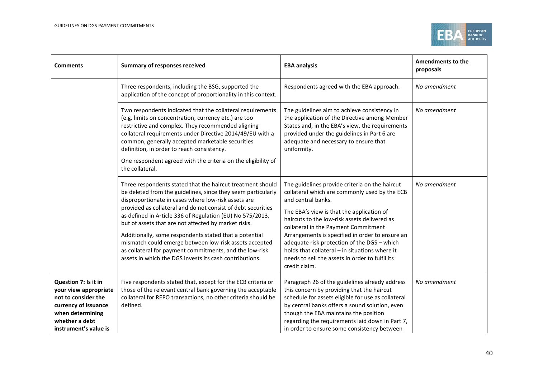

| <b>Comments</b>                                                                                                                                             | <b>Summary of responses received</b>                                                                                                                                                                                                                                                                                                                                                                                                                                                                                                                                                                             | <b>EBA analysis</b>                                                                                                                                                                                                                                                                                                                                                                                                                                                                | Amendments to the<br>proposals |
|-------------------------------------------------------------------------------------------------------------------------------------------------------------|------------------------------------------------------------------------------------------------------------------------------------------------------------------------------------------------------------------------------------------------------------------------------------------------------------------------------------------------------------------------------------------------------------------------------------------------------------------------------------------------------------------------------------------------------------------------------------------------------------------|------------------------------------------------------------------------------------------------------------------------------------------------------------------------------------------------------------------------------------------------------------------------------------------------------------------------------------------------------------------------------------------------------------------------------------------------------------------------------------|--------------------------------|
|                                                                                                                                                             | Three respondents, including the BSG, supported the<br>application of the concept of proportionality in this context.                                                                                                                                                                                                                                                                                                                                                                                                                                                                                            | Respondents agreed with the EBA approach.                                                                                                                                                                                                                                                                                                                                                                                                                                          | No amendment                   |
|                                                                                                                                                             | Two respondents indicated that the collateral requirements<br>(e.g. limits on concentration, currency etc.) are too<br>restrictive and complex. They recommended aligning<br>collateral requirements under Directive 2014/49/EU with a<br>common, generally accepted marketable securities<br>definition, in order to reach consistency.<br>One respondent agreed with the criteria on the eligibility of<br>the collateral.                                                                                                                                                                                     | The guidelines aim to achieve consistency in<br>the application of the Directive among Member<br>States and, in the EBA's view, the requirements<br>provided under the guidelines in Part 6 are<br>adequate and necessary to ensure that<br>uniformity.                                                                                                                                                                                                                            | No amendment                   |
|                                                                                                                                                             | Three respondents stated that the haircut treatment should<br>be deleted from the guidelines, since they seem particularly<br>disproportionate in cases where low-risk assets are<br>provided as collateral and do not consist of debt securities<br>as defined in Article 336 of Regulation (EU) No 575/2013,<br>but of assets that are not affected by market risks.<br>Additionally, some respondents stated that a potential<br>mismatch could emerge between low-risk assets accepted<br>as collateral for payment commitments, and the low-risk<br>assets in which the DGS invests its cash contributions. | The guidelines provide criteria on the haircut<br>collateral which are commonly used by the ECB<br>and central banks.<br>The EBA's view is that the application of<br>haircuts to the low-risk assets delivered as<br>collateral in the Payment Commitment<br>Arrangements is specified in order to ensure an<br>adequate risk protection of the DGS - which<br>holds that collateral - in situations where it<br>needs to sell the assets in order to fulfil its<br>credit claim. | No amendment                   |
| Question 7: Is it in<br>your view appropriate<br>not to consider the<br>currency of issuance<br>when determining<br>whether a debt<br>instrument's value is | Five respondents stated that, except for the ECB criteria or<br>those of the relevant central bank governing the acceptable<br>collateral for REPO transactions, no other criteria should be<br>defined.                                                                                                                                                                                                                                                                                                                                                                                                         | Paragraph 26 of the guidelines already address<br>this concern by providing that the haircut<br>schedule for assets eligible for use as collateral<br>by central banks offers a sound solution, even<br>though the EBA maintains the position<br>regarding the requirements laid down in Part 7,<br>in order to ensure some consistency between                                                                                                                                    | No amendment                   |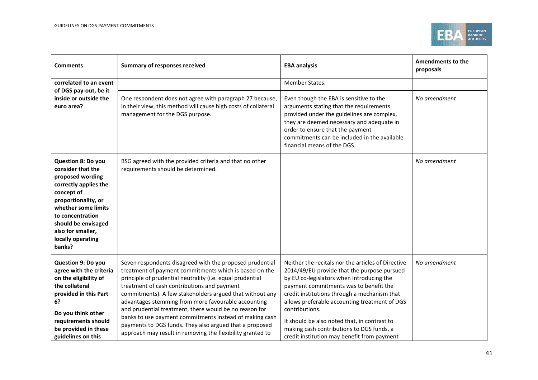

| <b>Comments</b>                                                                                                                                                                                                                                        | <b>Summary of responses received</b>                                                                                                                                                                                                                                                                                                                                                                                                                                                                                                                                                            | <b>EBA analysis</b>                                                                                                                                                                                                                                                                                                                                                                                                                                     | <b>Amendments to the</b><br>proposals |
|--------------------------------------------------------------------------------------------------------------------------------------------------------------------------------------------------------------------------------------------------------|-------------------------------------------------------------------------------------------------------------------------------------------------------------------------------------------------------------------------------------------------------------------------------------------------------------------------------------------------------------------------------------------------------------------------------------------------------------------------------------------------------------------------------------------------------------------------------------------------|---------------------------------------------------------------------------------------------------------------------------------------------------------------------------------------------------------------------------------------------------------------------------------------------------------------------------------------------------------------------------------------------------------------------------------------------------------|---------------------------------------|
| correlated to an event                                                                                                                                                                                                                                 |                                                                                                                                                                                                                                                                                                                                                                                                                                                                                                                                                                                                 | Member States.                                                                                                                                                                                                                                                                                                                                                                                                                                          |                                       |
| of DGS pay-out, be it<br>inside or outside the<br>euro area?                                                                                                                                                                                           | One respondent does not agree with paragraph 27 because,<br>in their view, this method will cause high costs of collateral<br>management for the DGS purpose.                                                                                                                                                                                                                                                                                                                                                                                                                                   | Even though the EBA is sensitive to the<br>arguments stating that the requirements<br>provided under the guidelines are complex,<br>they are deemed necessary and adequate in<br>order to ensure that the payment<br>commitments can be included in the available<br>financial means of the DGS.                                                                                                                                                        | No amendment                          |
| <b>Question 8: Do you</b><br>consider that the<br>proposed wording<br>correctly applies the<br>concept of<br>proportionality, or<br>whether some limits<br>to concentration<br>should be envisaged<br>also for smaller,<br>locally operating<br>banks? | BSG agreed with the provided criteria and that no other<br>requirements should be determined.                                                                                                                                                                                                                                                                                                                                                                                                                                                                                                   |                                                                                                                                                                                                                                                                                                                                                                                                                                                         | No amendment                          |
| Question 9: Do you<br>agree with the criteria<br>on the eligibility of<br>the collateral<br>provided in this Part<br>6?<br>Do you think other<br>requirements should<br>be provided in these<br>guidelines on this                                     | Seven respondents disagreed with the proposed prudential<br>treatment of payment commitments which is based on the<br>principle of prudential neutrality (i.e. equal prudential<br>treatment of cash contributions and payment<br>commitments). A few stakeholders argued that without any<br>advantages stemming from more favourable accounting<br>and prudential treatment, there would be no reason for<br>banks to use payment commitments instead of making cash<br>payments to DGS funds. They also argued that a proposed<br>approach may result in removing the flexibility granted to | Neither the recitals nor the articles of Directive<br>2014/49/EU provide that the purpose pursued<br>by EU co-legislators when introducing the<br>payment commitments was to benefit the<br>credit institutions through a mechanism that<br>allows preferable accounting treatment of DGS<br>contributions.<br>It should be also noted that, in contrast to<br>making cash contributions to DGS funds, a<br>credit institution may benefit from payment | No amendment                          |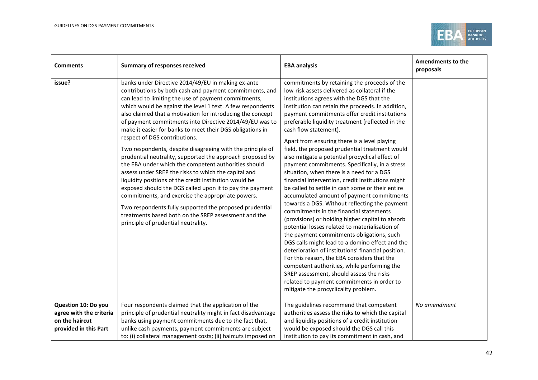

| <b>Comments</b>                                                                           | <b>Summary of responses received</b>                                                                                                                                                                                                                                                                                                                                                                                                                                                                                                                                                                                                                                                                                                                                                                                                                                                                                                                                                                                                       | <b>EBA analysis</b>                                                                                                                                                                                                                                                                                                                                                                                                                                                                                                                                                                                                                                                                                                                                                                                                                                                                                                                                                                                                                                                                                                                                                                                                                                                                                                              | Amendments to the<br>proposals |
|-------------------------------------------------------------------------------------------|--------------------------------------------------------------------------------------------------------------------------------------------------------------------------------------------------------------------------------------------------------------------------------------------------------------------------------------------------------------------------------------------------------------------------------------------------------------------------------------------------------------------------------------------------------------------------------------------------------------------------------------------------------------------------------------------------------------------------------------------------------------------------------------------------------------------------------------------------------------------------------------------------------------------------------------------------------------------------------------------------------------------------------------------|----------------------------------------------------------------------------------------------------------------------------------------------------------------------------------------------------------------------------------------------------------------------------------------------------------------------------------------------------------------------------------------------------------------------------------------------------------------------------------------------------------------------------------------------------------------------------------------------------------------------------------------------------------------------------------------------------------------------------------------------------------------------------------------------------------------------------------------------------------------------------------------------------------------------------------------------------------------------------------------------------------------------------------------------------------------------------------------------------------------------------------------------------------------------------------------------------------------------------------------------------------------------------------------------------------------------------------|--------------------------------|
| issue?                                                                                    | banks under Directive 2014/49/EU in making ex-ante<br>contributions by both cash and payment commitments, and<br>can lead to limiting the use of payment commitments,<br>which would be against the level 1 text. A few respondents<br>also claimed that a motivation for introducing the concept<br>of payment commitments into Directive 2014/49/EU was to<br>make it easier for banks to meet their DGS obligations in<br>respect of DGS contributions.<br>Two respondents, despite disagreeing with the principle of<br>prudential neutrality, supported the approach proposed by<br>the EBA under which the competent authorities should<br>assess under SREP the risks to which the capital and<br>liquidity positions of the credit institution would be<br>exposed should the DGS called upon it to pay the payment<br>commitments, and exercise the appropriate powers.<br>Two respondents fully supported the proposed prudential<br>treatments based both on the SREP assessment and the<br>principle of prudential neutrality. | commitments by retaining the proceeds of the<br>low-risk assets delivered as collateral if the<br>institutions agrees with the DGS that the<br>institution can retain the proceeds. In addition,<br>payment commitments offer credit institutions<br>preferable liquidity treatment (reflected in the<br>cash flow statement).<br>Apart from ensuring there is a level playing<br>field, the proposed prudential treatment would<br>also mitigate a potential procyclical effect of<br>payment commitments. Specifically, in a stress<br>situation, when there is a need for a DGS<br>financial intervention, credit institutions might<br>be called to settle in cash some or their entire<br>accumulated amount of payment commitments<br>towards a DGS. Without reflecting the payment<br>commitments in the financial statements<br>(provisions) or holding higher capital to absorb<br>potential losses related to materialisation of<br>the payment commitments obligations, such<br>DGS calls might lead to a domino effect and the<br>deterioration of institutions' financial position.<br>For this reason, the EBA considers that the<br>competent authorities, while performing the<br>SREP assessment, should assess the risks<br>related to payment commitments in order to<br>mitigate the procyclicality problem. |                                |
| Question 10: Do you<br>agree with the criteria<br>on the haircut<br>provided in this Part | Four respondents claimed that the application of the<br>principle of prudential neutrality might in fact disadvantage<br>banks using payment commitments due to the fact that,<br>unlike cash payments, payment commitments are subject<br>to: (i) collateral management costs; (ii) haircuts imposed on                                                                                                                                                                                                                                                                                                                                                                                                                                                                                                                                                                                                                                                                                                                                   | The guidelines recommend that competent<br>authorities assess the risks to which the capital<br>and liquidity positions of a credit institution<br>would be exposed should the DGS call this<br>institution to pay its commitment in cash, and                                                                                                                                                                                                                                                                                                                                                                                                                                                                                                                                                                                                                                                                                                                                                                                                                                                                                                                                                                                                                                                                                   | No amendment                   |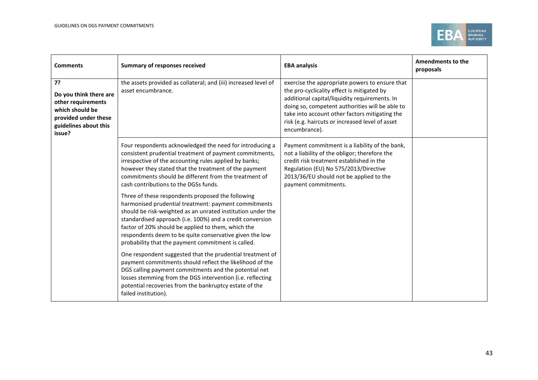

| <b>Comments</b>                                                                                                                                                                                                           | <b>Summary of responses received</b>                                                                                                                                                                                                                                                                                                                                                                         | <b>EBA analysis</b>                                                                                                                                                                                                                                                                                                    | <b>Amendments to the</b><br>proposals |
|---------------------------------------------------------------------------------------------------------------------------------------------------------------------------------------------------------------------------|--------------------------------------------------------------------------------------------------------------------------------------------------------------------------------------------------------------------------------------------------------------------------------------------------------------------------------------------------------------------------------------------------------------|------------------------------------------------------------------------------------------------------------------------------------------------------------------------------------------------------------------------------------------------------------------------------------------------------------------------|---------------------------------------|
| the assets provided as collateral; and (iii) increased level of<br>7?<br>asset encumbrance.<br>Do you think there are<br>other requirements<br>which should be<br>provided under these<br>guidelines about this<br>issue? |                                                                                                                                                                                                                                                                                                                                                                                                              | exercise the appropriate powers to ensure that<br>the pro-cyclicality effect is mitigated by<br>additional capital/liquidity requirements. In<br>doing so, competent authorities will be able to<br>take into account other factors mitigating the<br>risk (e.g. haircuts or increased level of asset<br>encumbrance). |                                       |
|                                                                                                                                                                                                                           | Four respondents acknowledged the need for introducing a<br>consistent prudential treatment of payment commitments,<br>irrespective of the accounting rules applied by banks;<br>however they stated that the treatment of the payment<br>commitments should be different from the treatment of<br>cash contributions to the DGSs funds.                                                                     | Payment commitment is a liability of the bank,<br>not a liability of the obligor; therefore the<br>credit risk treatment established in the<br>Regulation (EU) No 575/2013/Directive<br>2013/36/EU should not be applied to the<br>payment commitments.                                                                |                                       |
|                                                                                                                                                                                                                           | Three of these respondents proposed the following<br>harmonised prudential treatment: payment commitments<br>should be risk-weighted as an unrated institution under the<br>standardised approach (i.e. 100%) and a credit conversion<br>factor of 20% should be applied to them, which the<br>respondents deem to be quite conservative given the low<br>probability that the payment commitment is called. |                                                                                                                                                                                                                                                                                                                        |                                       |
|                                                                                                                                                                                                                           | One respondent suggested that the prudential treatment of<br>payment commitments should reflect the likelihood of the<br>DGS calling payment commitments and the potential net<br>losses stemming from the DGS intervention (i.e. reflecting<br>potential recoveries from the bankruptcy estate of the<br>failed institution).                                                                               |                                                                                                                                                                                                                                                                                                                        |                                       |